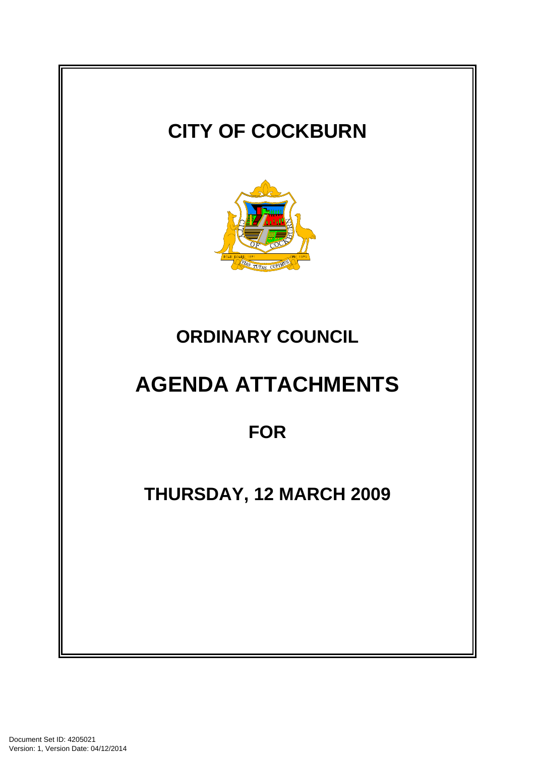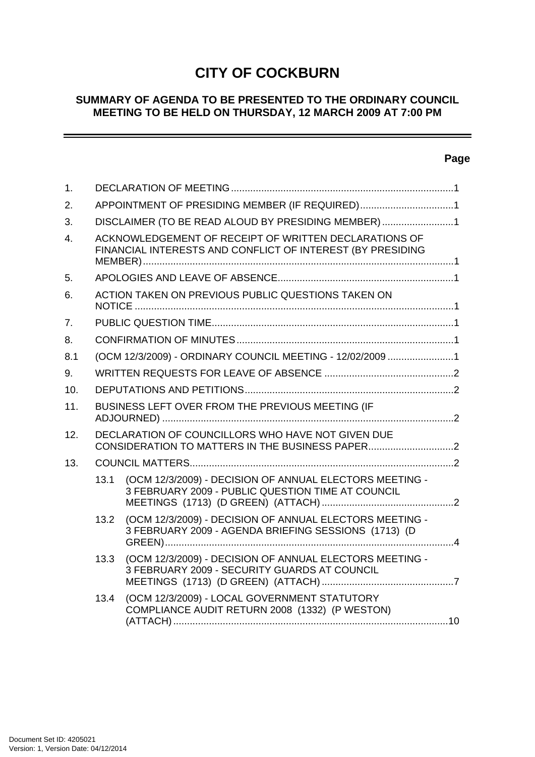# **CITY OF COCKBURN**

### **SUMMARY OF AGENDA TO BE PRESENTED TO THE ORDINARY COUNCIL MEETING TO BE HELD ON THURSDAY, 12 MARCH 2009 AT 7:00 PM**

# **Page**

\_\_\_\_\_

| 1.             |                                                                                                                     |                                                                                                                 |  |
|----------------|---------------------------------------------------------------------------------------------------------------------|-----------------------------------------------------------------------------------------------------------------|--|
| 2.             | APPOINTMENT OF PRESIDING MEMBER (IF REQUIRED)1                                                                      |                                                                                                                 |  |
| 3.             | DISCLAIMER (TO BE READ ALOUD BY PRESIDING MEMBER) 1                                                                 |                                                                                                                 |  |
| $\overline{4}$ | ACKNOWLEDGEMENT OF RECEIPT OF WRITTEN DECLARATIONS OF<br>FINANCIAL INTERESTS AND CONFLICT OF INTEREST (BY PRESIDING |                                                                                                                 |  |
| 5.             |                                                                                                                     |                                                                                                                 |  |
| 6.             | ACTION TAKEN ON PREVIOUS PUBLIC QUESTIONS TAKEN ON                                                                  |                                                                                                                 |  |
| 7.             |                                                                                                                     |                                                                                                                 |  |
| 8.             |                                                                                                                     |                                                                                                                 |  |
| 8.1            | (OCM 12/3/2009) - ORDINARY COUNCIL MEETING - 12/02/2009 1                                                           |                                                                                                                 |  |
| 9.             |                                                                                                                     |                                                                                                                 |  |
| 10.            |                                                                                                                     |                                                                                                                 |  |
| 11.            | BUSINESS LEFT OVER FROM THE PREVIOUS MEETING (IF                                                                    |                                                                                                                 |  |
| 12.            | DECLARATION OF COUNCILLORS WHO HAVE NOT GIVEN DUE                                                                   |                                                                                                                 |  |
| 13.            |                                                                                                                     |                                                                                                                 |  |
|                | 13.1                                                                                                                | (OCM 12/3/2009) - DECISION OF ANNUAL ELECTORS MEETING -<br>3 FEBRUARY 2009 - PUBLIC QUESTION TIME AT COUNCIL    |  |
|                | 13.2                                                                                                                | (OCM 12/3/2009) - DECISION OF ANNUAL ELECTORS MEETING -<br>3 FEBRUARY 2009 - AGENDA BRIEFING SESSIONS (1713) (D |  |
|                | 13.3                                                                                                                | (OCM 12/3/2009) - DECISION OF ANNUAL ELECTORS MEETING -<br>3 FEBRUARY 2009 - SECURITY GUARDS AT COUNCIL         |  |
|                | 13.4                                                                                                                | (OCM 12/3/2009) - LOCAL GOVERNMENT STATUTORY<br>COMPLIANCE AUDIT RETURN 2008 (1332) (P WESTON)                  |  |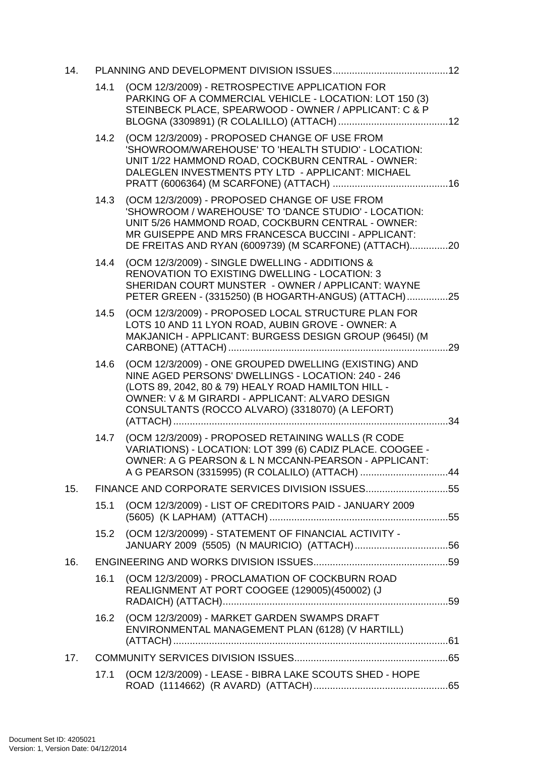| 14. |      |                                                                                                                                                                                                                                                                           |  |
|-----|------|---------------------------------------------------------------------------------------------------------------------------------------------------------------------------------------------------------------------------------------------------------------------------|--|
|     | 14.1 | (OCM 12/3/2009) - RETROSPECTIVE APPLICATION FOR<br>PARKING OF A COMMERCIAL VEHICLE - LOCATION: LOT 150 (3)<br>STEINBECK PLACE, SPEARWOOD - OWNER / APPLICANT: C & P                                                                                                       |  |
|     | 14.2 | (OCM 12/3/2009) - PROPOSED CHANGE OF USE FROM<br>'SHOWROOM/WAREHOUSE' TO 'HEALTH STUDIO' - LOCATION:<br>UNIT 1/22 HAMMOND ROAD, COCKBURN CENTRAL - OWNER:<br>DALEGLEN INVESTMENTS PTY LTD - APPLICANT: MICHAEL                                                            |  |
|     | 14.3 | (OCM 12/3/2009) - PROPOSED CHANGE OF USE FROM<br>'SHOWROOM / WAREHOUSE' TO 'DANCE STUDIO' - LOCATION:<br>UNIT 5/26 HAMMOND ROAD, COCKBURN CENTRAL - OWNER:<br>MR GUISEPPE AND MRS FRANCESCA BUCCINI - APPLICANT:<br>DE FREITAS AND RYAN (6009739) (M SCARFONE) (ATTACH)20 |  |
|     | 14.4 | (OCM 12/3/2009) - SINGLE DWELLING - ADDITIONS &<br><b>RENOVATION TO EXISTING DWELLING - LOCATION: 3</b><br>SHERIDAN COURT MUNSTER - OWNER / APPLICANT: WAYNE<br>PETER GREEN - (3315250) (B HOGARTH-ANGUS) (ATTACH)25                                                      |  |
|     | 14.5 | (OCM 12/3/2009) - PROPOSED LOCAL STRUCTURE PLAN FOR<br>LOTS 10 AND 11 LYON ROAD, AUBIN GROVE - OWNER: A<br>MAKJANICH - APPLICANT: BURGESS DESIGN GROUP (9645I) (M                                                                                                         |  |
|     | 14.6 | (OCM 12/3/2009) - ONE GROUPED DWELLING (EXISTING) AND<br>NINE AGED PERSONS' DWELLINGS - LOCATION: 240 - 246<br>(LOTS 89, 2042, 80 & 79) HEALY ROAD HAMILTON HILL -<br>OWNER: V & M GIRARDI - APPLICANT: ALVARO DESIGN<br>CONSULTANTS (ROCCO ALVARO) (3318070) (A LEFORT)  |  |
|     | 14.7 | (OCM 12/3/2009) - PROPOSED RETAINING WALLS (R CODE<br>VARIATIONS) - LOCATION: LOT 399 (6) CADIZ PLACE. COOGEE -<br>OWNER: A G PEARSON & L N MCCANN-PEARSON - APPLICANT:<br>A G PEARSON (3315995) (R COLALILO) (ATTACH) 44                                                 |  |
| 15. |      | FINANCE AND CORPORATE SERVICES DIVISION ISSUES55                                                                                                                                                                                                                          |  |
|     | 15.1 | (OCM 12/3/2009) - LIST OF CREDITORS PAID - JANUARY 2009                                                                                                                                                                                                                   |  |
|     | 15.2 | (OCM 12/3/20099) - STATEMENT OF FINANCIAL ACTIVITY -                                                                                                                                                                                                                      |  |
| 16. |      |                                                                                                                                                                                                                                                                           |  |
|     | 16.1 | (OCM 12/3/2009) - PROCLAMATION OF COCKBURN ROAD<br>REALIGNMENT AT PORT COOGEE (129005)(450002) (J                                                                                                                                                                         |  |
|     | 16.2 | (OCM 12/3/2009) - MARKET GARDEN SWAMPS DRAFT<br>ENVIRONMENTAL MANAGEMENT PLAN (6128) (V HARTILL)                                                                                                                                                                          |  |
| 17. |      |                                                                                                                                                                                                                                                                           |  |
|     | 17.1 | (OCM 12/3/2009) - LEASE - BIBRA LAKE SCOUTS SHED - HOPE                                                                                                                                                                                                                   |  |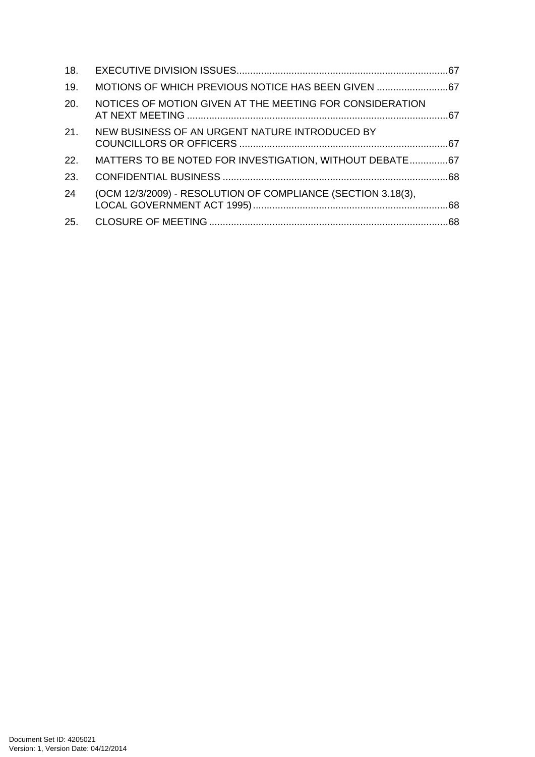| 18. |                                                              |  |
|-----|--------------------------------------------------------------|--|
| 19. | MOTIONS OF WHICH PREVIOUS NOTICE HAS BEEN GIVEN              |  |
| 20. | NOTICES OF MOTION GIVEN AT THE MEETING FOR CONSIDERATION     |  |
|     | 21. NEW BUSINESS OF AN URGENT NATURE INTRODUCED BY           |  |
| 22. | MATTERS TO BE NOTED FOR INVESTIGATION, WITHOUT DEBATE67      |  |
| 23. |                                                              |  |
| 24  | (OCM 12/3/2009) - RESOLUTION OF COMPLIANCE (SECTION 3.18(3), |  |
|     |                                                              |  |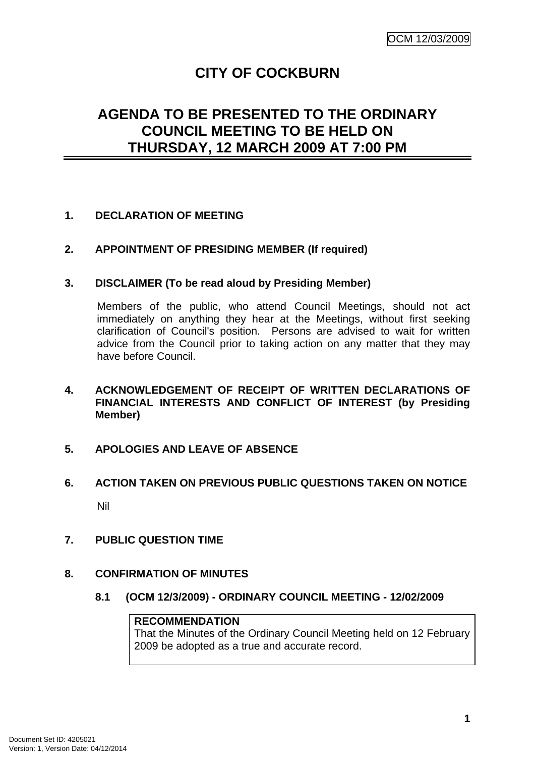# **CITY OF COCKBURN**

# **AGENDA TO BE PRESENTED TO THE ORDINARY COUNCIL MEETING TO BE HELD ON THURSDAY, 12 MARCH 2009 AT 7:00 PM**

### **1. DECLARATION OF MEETING**

**2. APPOINTMENT OF PRESIDING MEMBER (If required)** 

### **3. DISCLAIMER (To be read aloud by Presiding Member)**

Members of the public, who attend Council Meetings, should not act immediately on anything they hear at the Meetings, without first seeking clarification of Council's position. Persons are advised to wait for written advice from the Council prior to taking action on any matter that they may have before Council.

- **4. ACKNOWLEDGEMENT OF RECEIPT OF WRITTEN DECLARATIONS OF FINANCIAL INTERESTS AND CONFLICT OF INTEREST (by Presiding Member)**
- **5. APOLOGIES AND LEAVE OF ABSENCE**
- **6. ACTION TAKEN ON PREVIOUS PUBLIC QUESTIONS TAKEN ON NOTICE**  Nil
- **7. PUBLIC QUESTION TIME**
- **8. CONFIRMATION OF MINUTES** 
	- **8.1 (OCM 12/3/2009) ORDINARY COUNCIL MEETING 12/02/2009**

### **RECOMMENDATION**

That the Minutes of the Ordinary Council Meeting held on 12 February 2009 be adopted as a true and accurate record.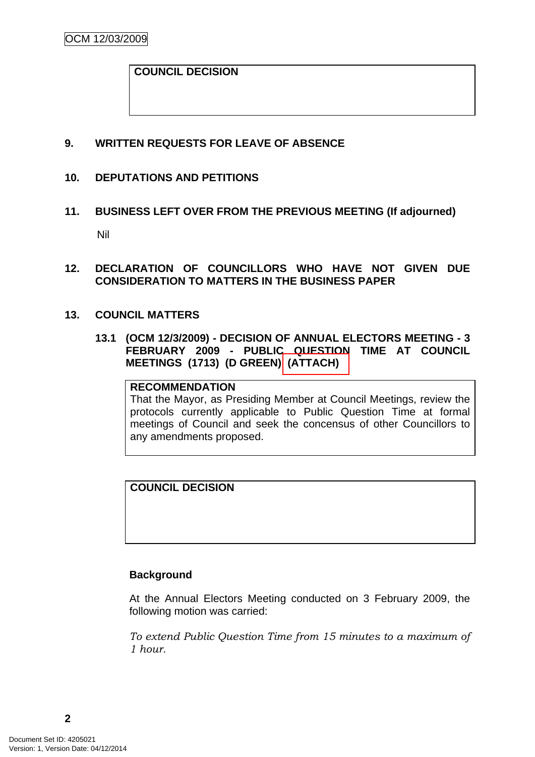### **COUNCIL DECISION**

### **9. WRITTEN REQUESTS FOR LEAVE OF ABSENCE**

### **10. DEPUTATIONS AND PETITIONS**

### **11. BUSINESS LEFT OVER FROM THE PREVIOUS MEETING (If adjourned)**

Nil

- **12. DECLARATION OF COUNCILLORS WHO HAVE NOT GIVEN DUE CONSIDERATION TO MATTERS IN THE BUSINESS PAPER**
- **13. COUNCIL MATTERS** 
	- **13.1 (OCM 12/3/2009) DECISION OF ANNUAL ELECTORS MEETING 3 FEBRUARY 2009 - PUBLIC QUESTION TIME AT COUNCIL MEETINGS (1713) (D GREEN) (ATTACH)**

#### **RECOMMENDATION**

That the Mayor, as Presiding Member at Council Meetings, review the protocols currently applicable to Public Question Time at formal meetings of Council and seek the concensus of other Councillors to any amendments proposed.

**COUNCIL DECISION** 

### **Background**

At the Annual Electors Meeting conducted on 3 February 2009, the following motion was carried:

*To extend Public Question Time from 15 minutes to a maximum of 1 hour.*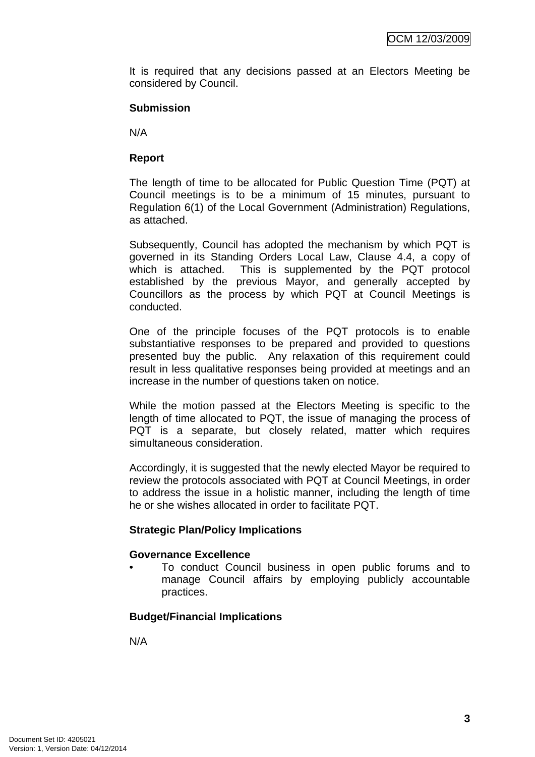It is required that any decisions passed at an Electors Meeting be considered by Council.

### **Submission**

N/A

### **Report**

The length of time to be allocated for Public Question Time (PQT) at Council meetings is to be a minimum of 15 minutes, pursuant to Regulation 6(1) of the Local Government (Administration) Regulations, as attached.

Subsequently, Council has adopted the mechanism by which PQT is governed in its Standing Orders Local Law, Clause 4.4, a copy of which is attached. This is supplemented by the PQT protocol established by the previous Mayor, and generally accepted by Councillors as the process by which PQT at Council Meetings is conducted.

One of the principle focuses of the PQT protocols is to enable substantiative responses to be prepared and provided to questions presented buy the public. Any relaxation of this requirement could result in less qualitative responses being provided at meetings and an increase in the number of questions taken on notice.

While the motion passed at the Electors Meeting is specific to the length of time allocated to PQT, the issue of managing the process of PQT is a separate, but closely related, matter which requires simultaneous consideration.

Accordingly, it is suggested that the newly elected Mayor be required to review the protocols associated with PQT at Council Meetings, in order to address the issue in a holistic manner, including the length of time he or she wishes allocated in order to facilitate PQT.

### **Strategic Plan/Policy Implications**

### **Governance Excellence**

• To conduct Council business in open public forums and to manage Council affairs by employing publicly accountable practices.

### **Budget/Financial Implications**

N/A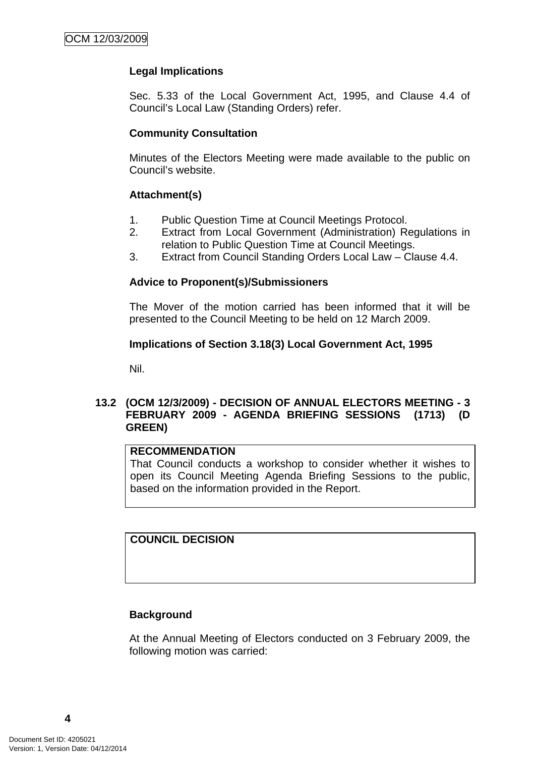### **Legal Implications**

Sec. 5.33 of the Local Government Act, 1995, and Clause 4.4 of Council's Local Law (Standing Orders) refer.

### **Community Consultation**

Minutes of the Electors Meeting were made available to the public on Council's website.

### **Attachment(s)**

- 1. Public Question Time at Council Meetings Protocol.
- 2. Extract from Local Government (Administration) Regulations in relation to Public Question Time at Council Meetings.
- 3. Extract from Council Standing Orders Local Law Clause 4.4.

### **Advice to Proponent(s)/Submissioners**

The Mover of the motion carried has been informed that it will be presented to the Council Meeting to be held on 12 March 2009.

### **Implications of Section 3.18(3) Local Government Act, 1995**

Nil.

### **13.2 (OCM 12/3/2009) - DECISION OF ANNUAL ELECTORS MEETING - 3 FEBRUARY 2009 - AGENDA BRIEFING SESSIONS (1713) (D GREEN)**

#### **RECOMMENDATION**

That Council conducts a workshop to consider whether it wishes to open its Council Meeting Agenda Briefing Sessions to the public, based on the information provided in the Report.

#### **COUNCIL DECISION**

### **Background**

At the Annual Meeting of Electors conducted on 3 February 2009, the following motion was carried: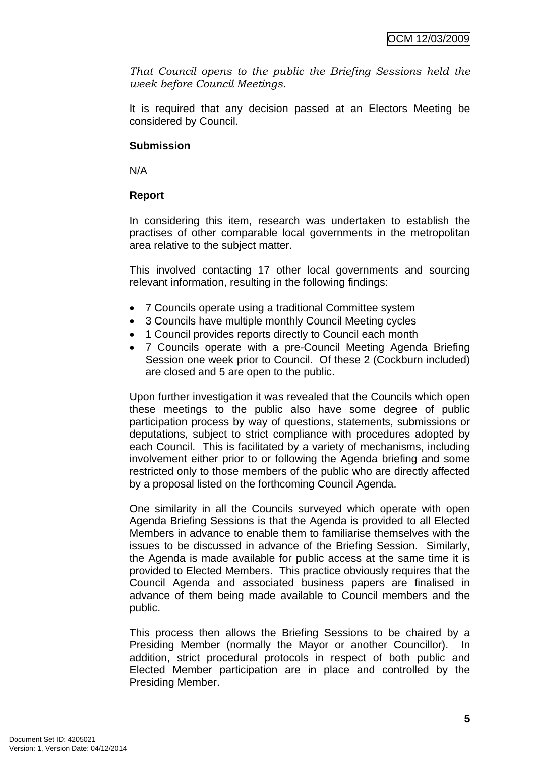*That Council opens to the public the Briefing Sessions held the week before Council Meetings.* 

It is required that any decision passed at an Electors Meeting be considered by Council.

### **Submission**

N/A

## **Report**

In considering this item, research was undertaken to establish the practises of other comparable local governments in the metropolitan area relative to the subject matter.

This involved contacting 17 other local governments and sourcing relevant information, resulting in the following findings:

- 7 Councils operate using a traditional Committee system
- 3 Councils have multiple monthly Council Meeting cycles
- 1 Council provides reports directly to Council each month
- 7 Councils operate with a pre-Council Meeting Agenda Briefing Session one week prior to Council. Of these 2 (Cockburn included) are closed and 5 are open to the public.

Upon further investigation it was revealed that the Councils which open these meetings to the public also have some degree of public participation process by way of questions, statements, submissions or deputations, subject to strict compliance with procedures adopted by each Council. This is facilitated by a variety of mechanisms, including involvement either prior to or following the Agenda briefing and some restricted only to those members of the public who are directly affected by a proposal listed on the forthcoming Council Agenda.

One similarity in all the Councils surveyed which operate with open Agenda Briefing Sessions is that the Agenda is provided to all Elected Members in advance to enable them to familiarise themselves with the issues to be discussed in advance of the Briefing Session. Similarly, the Agenda is made available for public access at the same time it is provided to Elected Members. This practice obviously requires that the Council Agenda and associated business papers are finalised in advance of them being made available to Council members and the public.

This process then allows the Briefing Sessions to be chaired by a Presiding Member (normally the Mayor or another Councillor). In addition, strict procedural protocols in respect of both public and Elected Member participation are in place and controlled by the Presiding Member.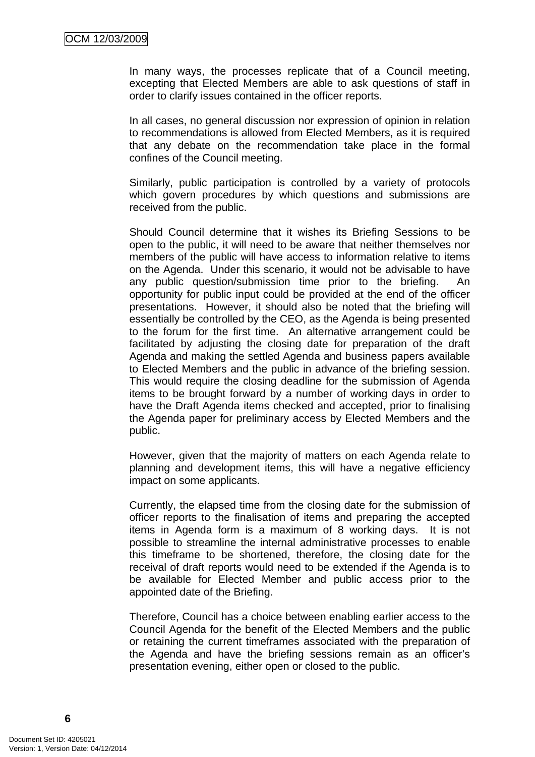In many ways, the processes replicate that of a Council meeting, excepting that Elected Members are able to ask questions of staff in order to clarify issues contained in the officer reports.

In all cases, no general discussion nor expression of opinion in relation to recommendations is allowed from Elected Members, as it is required that any debate on the recommendation take place in the formal confines of the Council meeting.

Similarly, public participation is controlled by a variety of protocols which govern procedures by which questions and submissions are received from the public.

Should Council determine that it wishes its Briefing Sessions to be open to the public, it will need to be aware that neither themselves nor members of the public will have access to information relative to items on the Agenda. Under this scenario, it would not be advisable to have any public question/submission time prior to the briefing. An opportunity for public input could be provided at the end of the officer presentations. However, it should also be noted that the briefing will essentially be controlled by the CEO, as the Agenda is being presented to the forum for the first time. An alternative arrangement could be facilitated by adjusting the closing date for preparation of the draft Agenda and making the settled Agenda and business papers available to Elected Members and the public in advance of the briefing session. This would require the closing deadline for the submission of Agenda items to be brought forward by a number of working days in order to have the Draft Agenda items checked and accepted, prior to finalising the Agenda paper for preliminary access by Elected Members and the public.

However, given that the majority of matters on each Agenda relate to planning and development items, this will have a negative efficiency impact on some applicants.

Currently, the elapsed time from the closing date for the submission of officer reports to the finalisation of items and preparing the accepted items in Agenda form is a maximum of 8 working days. It is not possible to streamline the internal administrative processes to enable this timeframe to be shortened, therefore, the closing date for the receival of draft reports would need to be extended if the Agenda is to be available for Elected Member and public access prior to the appointed date of the Briefing.

Therefore, Council has a choice between enabling earlier access to the Council Agenda for the benefit of the Elected Members and the public or retaining the current timeframes associated with the preparation of the Agenda and have the briefing sessions remain as an officer's presentation evening, either open or closed to the public.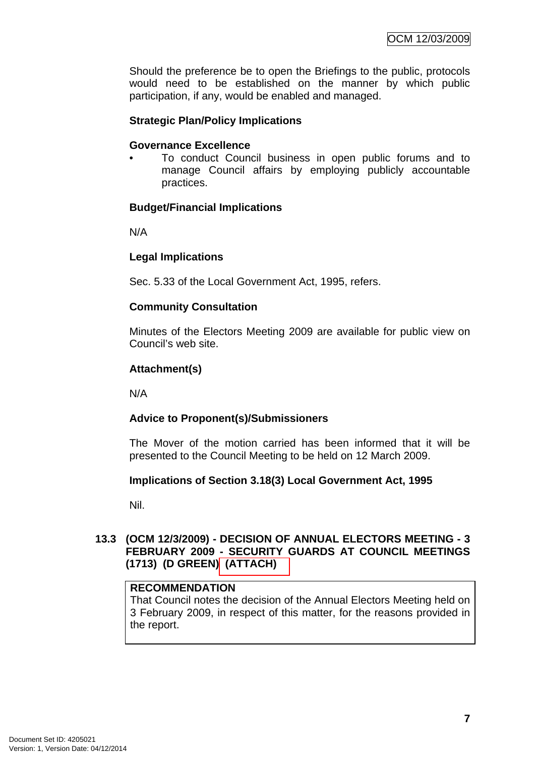Should the preference be to open the Briefings to the public, protocols would need to be established on the manner by which public participation, if any, would be enabled and managed.

### **Strategic Plan/Policy Implications**

#### **Governance Excellence**

• To conduct Council business in open public forums and to manage Council affairs by employing publicly accountable practices.

### **Budget/Financial Implications**

N/A

### **Legal Implications**

Sec. 5.33 of the Local Government Act, 1995, refers.

### **Community Consultation**

Minutes of the Electors Meeting 2009 are available for public view on Council's web site.

### **Attachment(s)**

N/A

### **Advice to Proponent(s)/Submissioners**

The Mover of the motion carried has been informed that it will be presented to the Council Meeting to be held on 12 March 2009.

### **Implications of Section 3.18(3) Local Government Act, 1995**

Nil.

### **13.3 (OCM 12/3/2009) - DECISION OF ANNUAL ELECTORS MEETING - 3 FEBRUARY 2009 - SECURITY GUARDS AT COUNCIL MEETINGS (1713) (D GREEN) (ATTACH)**

### **RECOMMENDATION**

That Council notes the decision of the Annual Electors Meeting held on 3 February 2009, in respect of this matter, for the reasons provided in the report.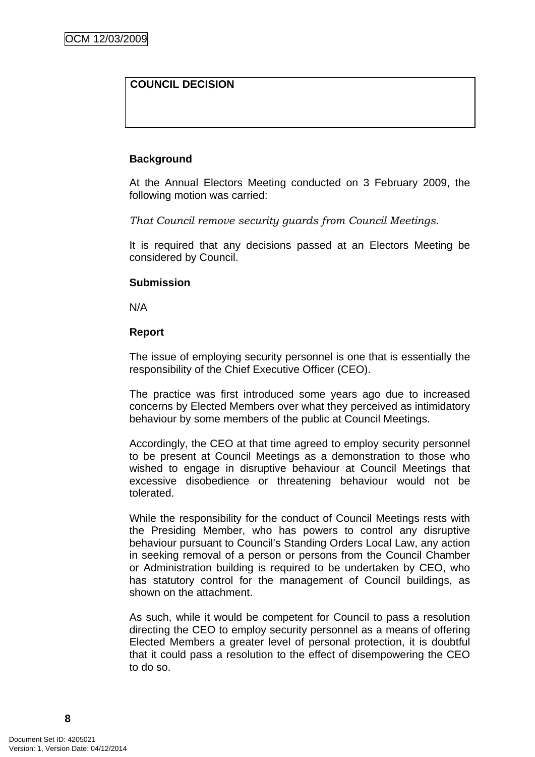## **COUNCIL DECISION**

### **Background**

At the Annual Electors Meeting conducted on 3 February 2009, the following motion was carried:

*That Council remove security guards from Council Meetings.* 

It is required that any decisions passed at an Electors Meeting be considered by Council.

### **Submission**

N/A

### **Report**

The issue of employing security personnel is one that is essentially the responsibility of the Chief Executive Officer (CEO).

The practice was first introduced some years ago due to increased concerns by Elected Members over what they perceived as intimidatory behaviour by some members of the public at Council Meetings.

Accordingly, the CEO at that time agreed to employ security personnel to be present at Council Meetings as a demonstration to those who wished to engage in disruptive behaviour at Council Meetings that excessive disobedience or threatening behaviour would not be tolerated.

While the responsibility for the conduct of Council Meetings rests with the Presiding Member, who has powers to control any disruptive behaviour pursuant to Council's Standing Orders Local Law, any action in seeking removal of a person or persons from the Council Chamber or Administration building is required to be undertaken by CEO, who has statutory control for the management of Council buildings, as shown on the attachment.

As such, while it would be competent for Council to pass a resolution directing the CEO to employ security personnel as a means of offering Elected Members a greater level of personal protection, it is doubtful that it could pass a resolution to the effect of disempowering the CEO to do so.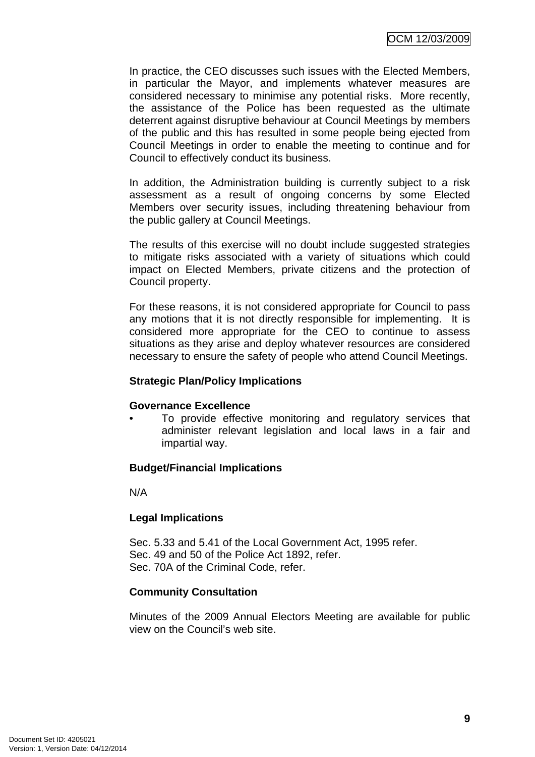In practice, the CEO discusses such issues with the Elected Members, in particular the Mayor, and implements whatever measures are considered necessary to minimise any potential risks. More recently, the assistance of the Police has been requested as the ultimate deterrent against disruptive behaviour at Council Meetings by members of the public and this has resulted in some people being ejected from Council Meetings in order to enable the meeting to continue and for Council to effectively conduct its business.

In addition, the Administration building is currently subject to a risk assessment as a result of ongoing concerns by some Elected Members over security issues, including threatening behaviour from the public gallery at Council Meetings.

The results of this exercise will no doubt include suggested strategies to mitigate risks associated with a variety of situations which could impact on Elected Members, private citizens and the protection of Council property.

For these reasons, it is not considered appropriate for Council to pass any motions that it is not directly responsible for implementing. It is considered more appropriate for the CEO to continue to assess situations as they arise and deploy whatever resources are considered necessary to ensure the safety of people who attend Council Meetings.

### **Strategic Plan/Policy Implications**

### **Governance Excellence**

To provide effective monitoring and regulatory services that administer relevant legislation and local laws in a fair and impartial way.

## **Budget/Financial Implications**

N/A

## **Legal Implications**

Sec. 5.33 and 5.41 of the Local Government Act, 1995 refer. Sec. 49 and 50 of the Police Act 1892, refer. Sec. 70A of the Criminal Code, refer.

### **Community Consultation**

Minutes of the 2009 Annual Electors Meeting are available for public view on the Council's web site.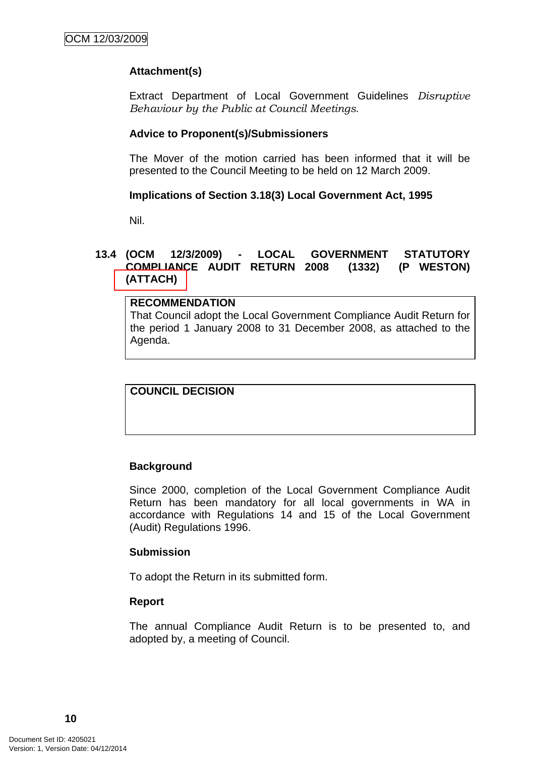## **Attachment(s)**

Extract Department of Local Government Guidelines *Disruptive Behaviour by the Public at Council Meetings*.

### **Advice to Proponent(s)/Submissioners**

The Mover of the motion carried has been informed that it will be presented to the Council Meeting to be held on 12 March 2009.

### **Implications of Section 3.18(3) Local Government Act, 1995**

Nil.

### **13.4 (OCM 12/3/2009) - LOCAL GOVERNMENT STATUTORY COMPLIANCE AUDIT RETURN 2008 (1332) (P WESTON) (ATTACH)**

### **RECOMMENDATION** That Council adopt the Local Government Compliance Audit Return for the period 1 January 2008 to 31 December 2008, as attached to the Agenda.

## **COUNCIL DECISION**

### **Background**

Since 2000, completion of the Local Government Compliance Audit Return has been mandatory for all local governments in WA in accordance with Regulations 14 and 15 of the Local Government (Audit) Regulations 1996.

### **Submission**

To adopt the Return in its submitted form.

### **Report**

The annual Compliance Audit Return is to be presented to, and adopted by, a meeting of Council.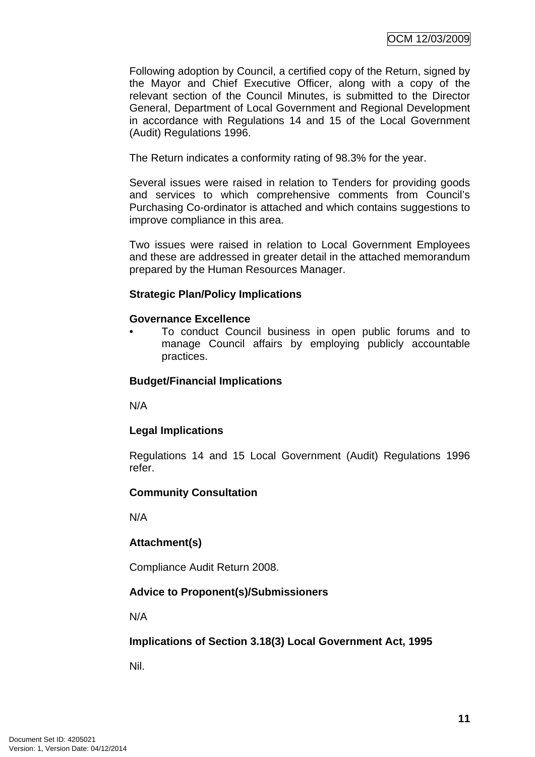Following adoption by Council, a certified copy of the Return, signed by the Mayor and Chief Executive Officer, along with a copy of the relevant section of the Council Minutes, is submitted to the Director General, Department of Local Government and Regional Development in accordance with Regulations 14 and 15 of the Local Government (Audit) Regulations 1996.

The Return indicates a conformity rating of 98.3% for the year.

Several issues were raised in relation to Tenders for providing goods and services to which comprehensive comments from Council's Purchasing Co-ordinator is attached and which contains suggestions to improve compliance in this area.

Two issues were raised in relation to Local Government Employees and these are addressed in greater detail in the attached memorandum prepared by the Human Resources Manager.

### **Strategic Plan/Policy Implications**

### **Governance Excellence**

• To conduct Council business in open public forums and to manage Council affairs by employing publicly accountable practices.

### **Budget/Financial Implications**

N/A

### **Legal Implications**

Regulations 14 and 15 Local Government (Audit) Regulations 1996 refer.

### **Community Consultation**

N/A

### **Attachment(s)**

Compliance Audit Return 2008.

### **Advice to Proponent(s)/Submissioners**

N/A

### **Implications of Section 3.18(3) Local Government Act, 1995**

Nil.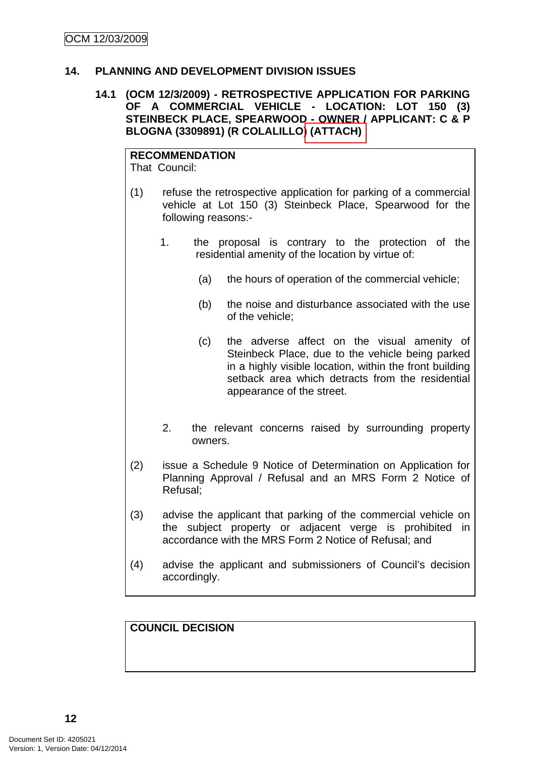### **14. PLANNING AND DEVELOPMENT DIVISION ISSUES**

### **14.1 (OCM 12/3/2009) - RETROSPECTIVE APPLICATION FOR PARKING OF A COMMERCIAL VEHICLE - LOCATION: LOT 150 (3) STEINBECK PLACE, SPEARWOOD - OWNER / APPLICANT: C & P BLOGNA (3309891) (R COLALILLO) (ATTACH)**

# **RECOMMENDATION**

That Council:

- (1) refuse the retrospective application for parking of a commercial vehicle at Lot 150 (3) Steinbeck Place, Spearwood for the following reasons:-
	- 1. the proposal is contrary to the protection of the residential amenity of the location by virtue of:
		- (a) the hours of operation of the commercial vehicle;
		- (b) the noise and disturbance associated with the use of the vehicle;
		- (c) the adverse affect on the visual amenity of Steinbeck Place, due to the vehicle being parked in a highly visible location, within the front building setback area which detracts from the residential appearance of the street.
	- 2. the relevant concerns raised by surrounding property owners.
- (2) issue a Schedule 9 Notice of Determination on Application for Planning Approval / Refusal and an MRS Form 2 Notice of Refusal;
- (3) advise the applicant that parking of the commercial vehicle on the subject property or adjacent verge is prohibited in accordance with the MRS Form 2 Notice of Refusal; and
- (4) advise the applicant and submissioners of Council's decision accordingly.

**COUNCIL DECISION**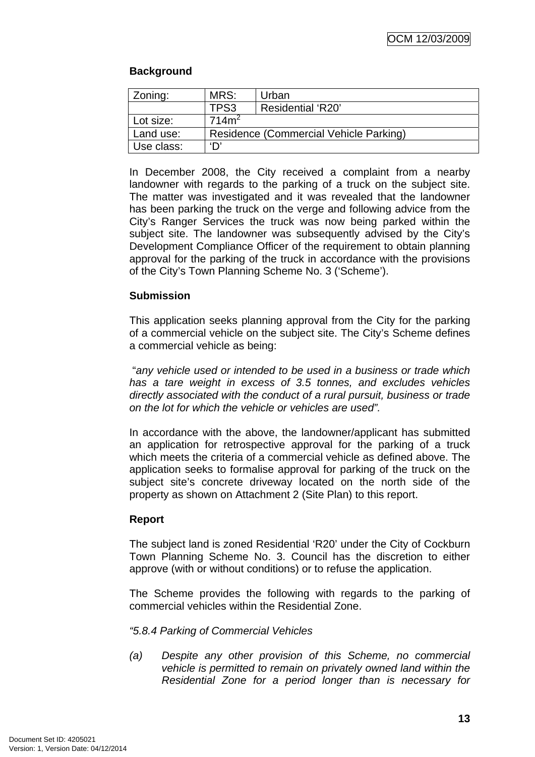## **Background**

| Zoning:           | MRS:              | Urban                                  |  |
|-------------------|-------------------|----------------------------------------|--|
|                   | TPS3              | Residential 'R20'                      |  |
| Lot size:         | 714m <sup>2</sup> |                                        |  |
| Land use:         |                   | Residence (Commercial Vehicle Parking) |  |
| ירו<br>Use class: |                   |                                        |  |

In December 2008, the City received a complaint from a nearby landowner with regards to the parking of a truck on the subject site. The matter was investigated and it was revealed that the landowner has been parking the truck on the verge and following advice from the City's Ranger Services the truck was now being parked within the subject site. The landowner was subsequently advised by the City's Development Compliance Officer of the requirement to obtain planning approval for the parking of the truck in accordance with the provisions of the City's Town Planning Scheme No. 3 ('Scheme').

### **Submission**

This application seeks planning approval from the City for the parking of a commercial vehicle on the subject site. The City's Scheme defines a commercial vehicle as being:

 "*any vehicle used or intended to be used in a business or trade which has a tare weight in excess of 3.5 tonnes, and excludes vehicles directly associated with the conduct of a rural pursuit, business or trade on the lot for which the vehicle or vehicles are used".*

In accordance with the above, the landowner/applicant has submitted an application for retrospective approval for the parking of a truck which meets the criteria of a commercial vehicle as defined above. The application seeks to formalise approval for parking of the truck on the subject site's concrete driveway located on the north side of the property as shown on Attachment 2 (Site Plan) to this report.

## **Report**

The subject land is zoned Residential 'R20' under the City of Cockburn Town Planning Scheme No. 3. Council has the discretion to either approve (with or without conditions) or to refuse the application.

The Scheme provides the following with regards to the parking of commercial vehicles within the Residential Zone.

*"5.8.4 Parking of Commercial Vehicles* 

*(a) Despite any other provision of this Scheme, no commercial vehicle is permitted to remain on privately owned land within the Residential Zone for a period longer than is necessary for*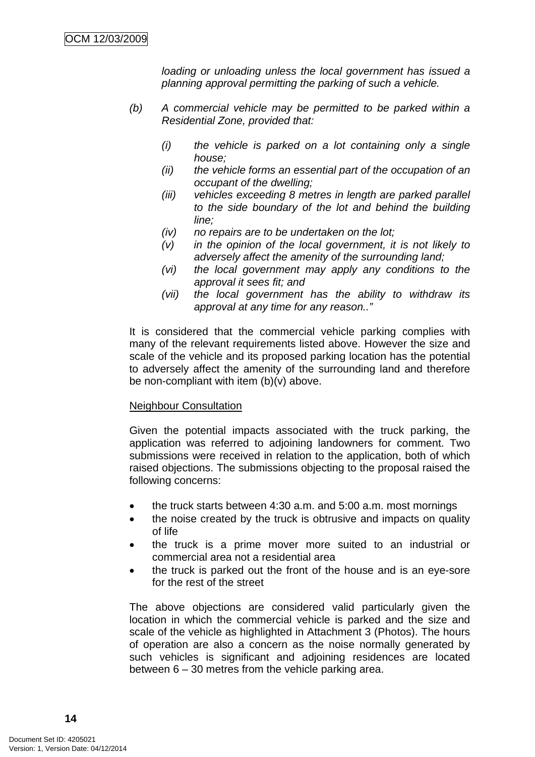*loading or unloading unless the local government has issued a planning approval permitting the parking of such a vehicle.* 

- *(b) A commercial vehicle may be permitted to be parked within a Residential Zone, provided that:* 
	- *(i) the vehicle is parked on a lot containing only a single house;*
	- *(ii) the vehicle forms an essential part of the occupation of an occupant of the dwelling;*
	- *(iii) vehicles exceeding 8 metres in length are parked parallel to the side boundary of the lot and behind the building line;*
	- *(iv) no repairs are to be undertaken on the lot;*
	- *(v) in the opinion of the local government, it is not likely to adversely affect the amenity of the surrounding land;*
	- *(vi) the local government may apply any conditions to the approval it sees fit; and*
	- *(vii) the local government has the ability to withdraw its approval at any time for any reason.."*

It is considered that the commercial vehicle parking complies with many of the relevant requirements listed above. However the size and scale of the vehicle and its proposed parking location has the potential to adversely affect the amenity of the surrounding land and therefore be non-compliant with item  $(b)(v)$  above.

### Neighbour Consultation

Given the potential impacts associated with the truck parking, the application was referred to adjoining landowners for comment. Two submissions were received in relation to the application, both of which raised objections. The submissions objecting to the proposal raised the following concerns:

- the truck starts between 4:30 a.m. and 5:00 a.m. most mornings
- the noise created by the truck is obtrusive and impacts on quality of life
- the truck is a prime mover more suited to an industrial or commercial area not a residential area
- the truck is parked out the front of the house and is an eye-sore for the rest of the street

The above objections are considered valid particularly given the location in which the commercial vehicle is parked and the size and scale of the vehicle as highlighted in Attachment 3 (Photos). The hours of operation are also a concern as the noise normally generated by such vehicles is significant and adjoining residences are located between 6 – 30 metres from the vehicle parking area.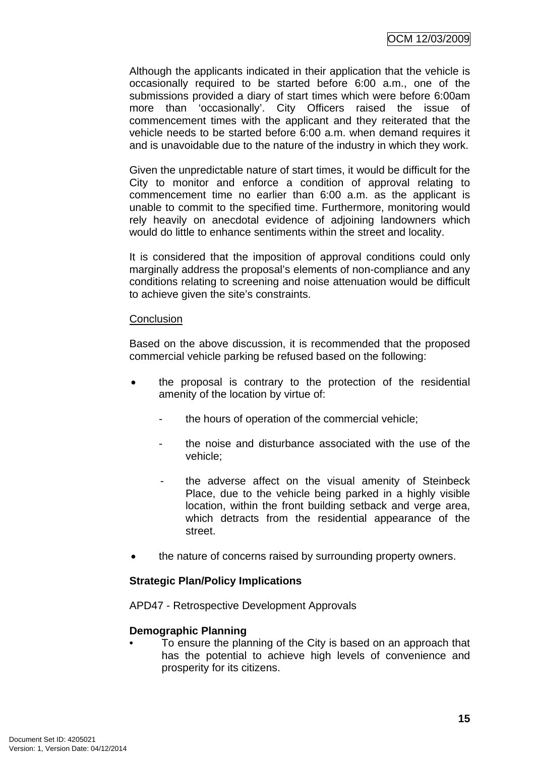Although the applicants indicated in their application that the vehicle is occasionally required to be started before 6:00 a.m., one of the submissions provided a diary of start times which were before 6:00am more than 'occasionally'. City Officers raised the issue of commencement times with the applicant and they reiterated that the vehicle needs to be started before 6:00 a.m. when demand requires it and is unavoidable due to the nature of the industry in which they work.

Given the unpredictable nature of start times, it would be difficult for the City to monitor and enforce a condition of approval relating to commencement time no earlier than 6:00 a.m. as the applicant is unable to commit to the specified time. Furthermore, monitoring would rely heavily on anecdotal evidence of adjoining landowners which would do little to enhance sentiments within the street and locality.

It is considered that the imposition of approval conditions could only marginally address the proposal's elements of non-compliance and any conditions relating to screening and noise attenuation would be difficult to achieve given the site's constraints.

### **Conclusion**

Based on the above discussion, it is recommended that the proposed commercial vehicle parking be refused based on the following:

- the proposal is contrary to the protection of the residential amenity of the location by virtue of:
	- the hours of operation of the commercial vehicle;
	- the noise and disturbance associated with the use of the vehicle;
	- the adverse affect on the visual amenity of Steinbeck Place, due to the vehicle being parked in a highly visible location, within the front building setback and verge area, which detracts from the residential appearance of the street.
- the nature of concerns raised by surrounding property owners.

## **Strategic Plan/Policy Implications**

APD47 - Retrospective Development Approvals

## **Demographic Planning**

• To ensure the planning of the City is based on an approach that has the potential to achieve high levels of convenience and prosperity for its citizens.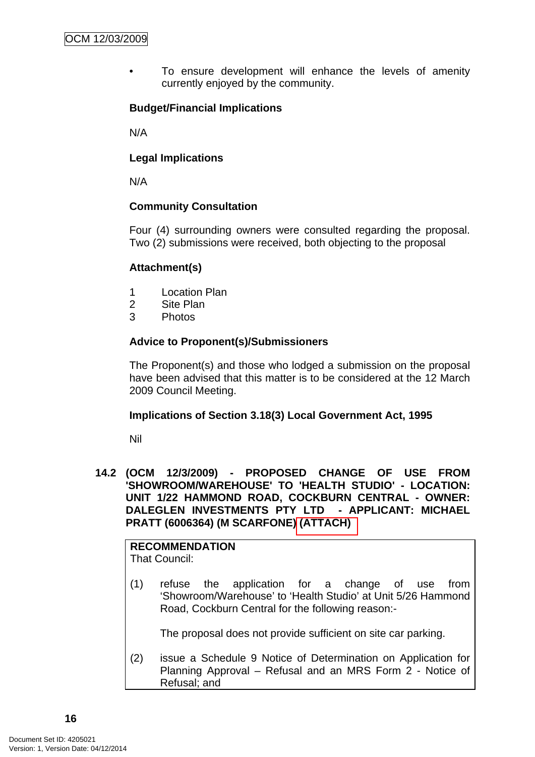To ensure development will enhance the levels of amenity currently enjoyed by the community.

## **Budget/Financial Implications**

N/A

### **Legal Implications**

N/A

### **Community Consultation**

Four (4) surrounding owners were consulted regarding the proposal. Two (2) submissions were received, both objecting to the proposal

## **Attachment(s)**

- 1 Location Plan
- 2 Site Plan
- 3 Photos

## **Advice to Proponent(s)/Submissioners**

The Proponent(s) and those who lodged a submission on the proposal have been advised that this matter is to be considered at the 12 March 2009 Council Meeting.

### **Implications of Section 3.18(3) Local Government Act, 1995**

Nil

**14.2 (OCM 12/3/2009) - PROPOSED CHANGE OF USE FROM 'SHOWROOM/WAREHOUSE' TO 'HEALTH STUDIO' - LOCATION: UNIT 1/22 HAMMOND ROAD, COCKBURN CENTRAL - OWNER: DALEGLEN INVESTMENTS PTY LTD - APPLICANT: MICHAEL PRATT (6006364) (M SCARFONE) (ATTACH)** 

# **RECOMMENDATION**

That Council:

(1) refuse the application for a change of use from 'Showroom/Warehouse' to 'Health Studio' at Unit 5/26 Hammond Road, Cockburn Central for the following reason:-

The proposal does not provide sufficient on site car parking.

(2) issue a Schedule 9 Notice of Determination on Application for Planning Approval – Refusal and an MRS Form 2 - Notice of Refusal; and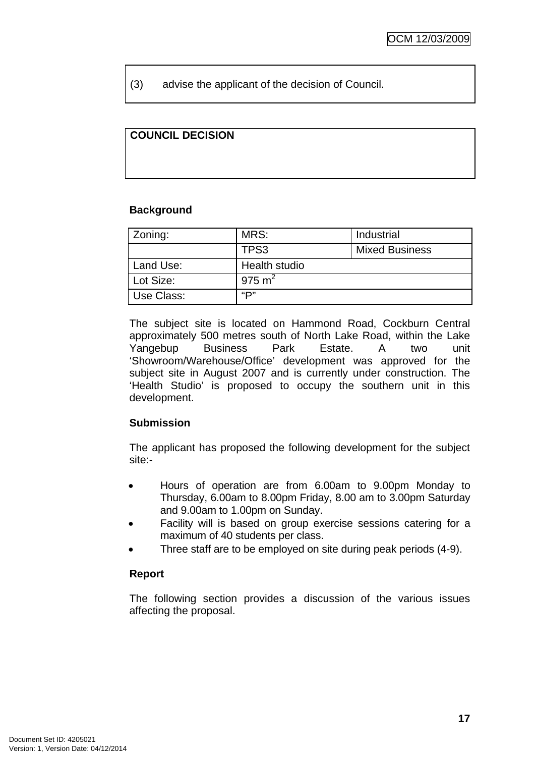(3) advise the applicant of the decision of Council.

## **COUNCIL DECISION**

### **Background**

| Zoning:    | MRS:          | Industrial            |  |
|------------|---------------|-----------------------|--|
|            | TPS3          | <b>Mixed Business</b> |  |
| Land Use:  | Health studio |                       |  |
| Lot Size:  | 975 $m2$      |                       |  |
| Use Class: | "D"           |                       |  |

The subject site is located on Hammond Road, Cockburn Central approximately 500 metres south of North Lake Road, within the Lake Yangebup Business Park Estate. A two unit 'Showroom/Warehouse/Office' development was approved for the subject site in August 2007 and is currently under construction. The 'Health Studio' is proposed to occupy the southern unit in this development.

## **Submission**

The applicant has proposed the following development for the subject site:-

- Hours of operation are from 6.00am to 9.00pm Monday to Thursday, 6.00am to 8.00pm Friday, 8.00 am to 3.00pm Saturday and 9.00am to 1.00pm on Sunday.
- Facility will is based on group exercise sessions catering for a maximum of 40 students per class.
- Three staff are to be employed on site during peak periods (4-9).

## **Report**

The following section provides a discussion of the various issues affecting the proposal.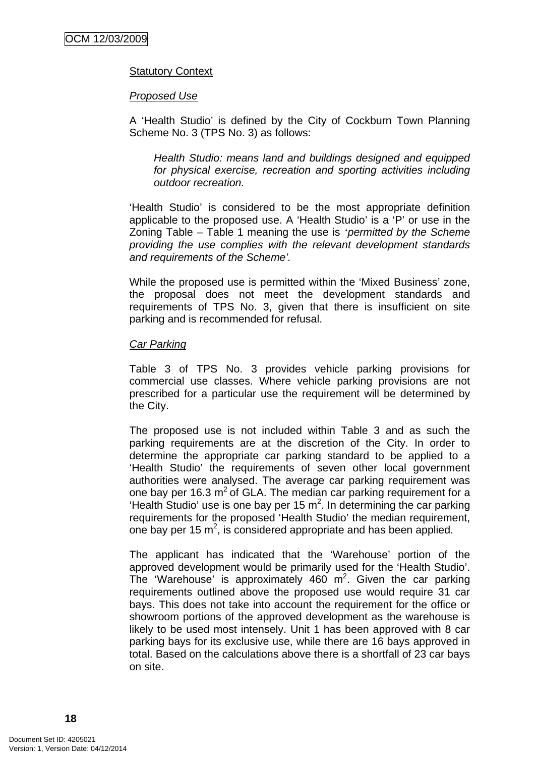### Statutory Context

#### *Proposed Use*

A 'Health Studio' is defined by the City of Cockburn Town Planning Scheme No. 3 (TPS No. 3) as follows:

*Health Studio: means land and buildings designed and equipped for physical exercise, recreation and sporting activities including outdoor recreation.* 

'Health Studio' is considered to be the most appropriate definition applicable to the proposed use. A 'Health Studio' is a 'P' or use in the Zoning Table – Table 1 meaning the use is *'permitted by the Scheme providing the use complies with the relevant development standards and requirements of the Scheme'.* 

While the proposed use is permitted within the 'Mixed Business' zone, the proposal does not meet the development standards and requirements of TPS No. 3, given that there is insufficient on site parking and is recommended for refusal.

#### *Car Parking*

Table 3 of TPS No. 3 provides vehicle parking provisions for commercial use classes. Where vehicle parking provisions are not prescribed for a particular use the requirement will be determined by the City.

The proposed use is not included within Table 3 and as such the parking requirements are at the discretion of the City. In order to determine the appropriate car parking standard to be applied to a 'Health Studio' the requirements of seven other local government authorities were analysed. The average car parking requirement was one bay per 16.3  $m^2$  of GLA. The median car parking requirement for a 'Health Studio' use is one bay per 15  $m^2$ . In determining the car parking requirements for the proposed 'Health Studio' the median requirement, one bay per 15  $m^2$ , is considered appropriate and has been applied.

The applicant has indicated that the 'Warehouse' portion of the approved development would be primarily used for the 'Health Studio'. The 'Warehouse' is approximately 460  $m^2$ . Given the car parking requirements outlined above the proposed use would require 31 car bays. This does not take into account the requirement for the office or showroom portions of the approved development as the warehouse is likely to be used most intensely. Unit 1 has been approved with 8 car parking bays for its exclusive use, while there are 16 bays approved in total. Based on the calculations above there is a shortfall of 23 car bays on site.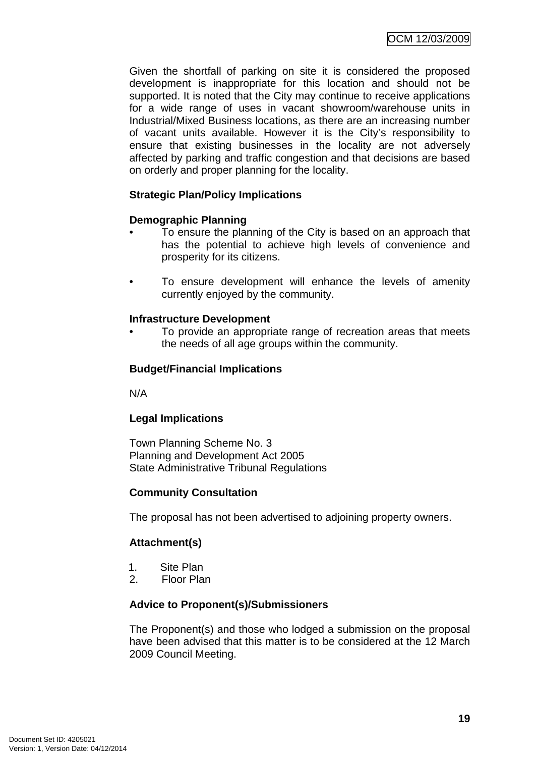Given the shortfall of parking on site it is considered the proposed development is inappropriate for this location and should not be supported. It is noted that the City may continue to receive applications for a wide range of uses in vacant showroom/warehouse units in Industrial/Mixed Business locations, as there are an increasing number of vacant units available. However it is the City's responsibility to ensure that existing businesses in the locality are not adversely affected by parking and traffic congestion and that decisions are based on orderly and proper planning for the locality.

## **Strategic Plan/Policy Implications**

### **Demographic Planning**

- To ensure the planning of the City is based on an approach that has the potential to achieve high levels of convenience and prosperity for its citizens.
- To ensure development will enhance the levels of amenity currently enjoyed by the community.

### **Infrastructure Development**

• To provide an appropriate range of recreation areas that meets the needs of all age groups within the community.

### **Budget/Financial Implications**

N/A

### **Legal Implications**

Town Planning Scheme No. 3 Planning and Development Act 2005 State Administrative Tribunal Regulations

### **Community Consultation**

The proposal has not been advertised to adjoining property owners.

### **Attachment(s)**

- 1. Site Plan
- 2. Floor Plan

### **Advice to Proponent(s)/Submissioners**

The Proponent(s) and those who lodged a submission on the proposal have been advised that this matter is to be considered at the 12 March 2009 Council Meeting.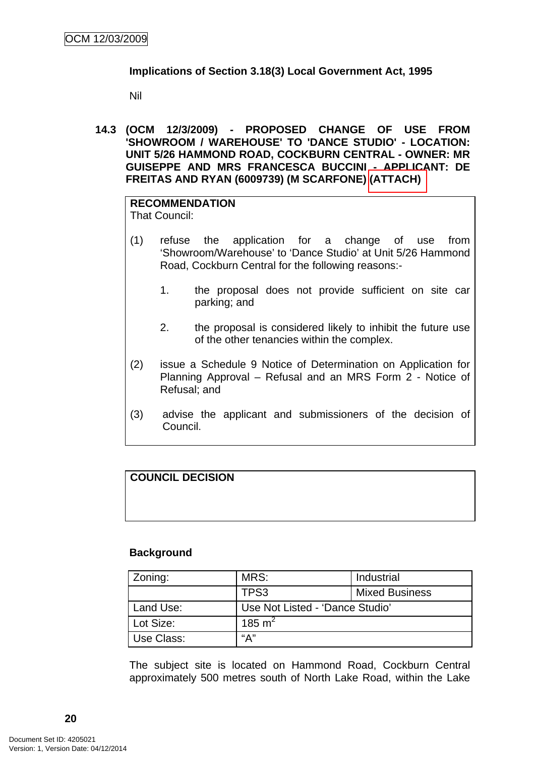### **Implications of Section 3.18(3) Local Government Act, 1995**

Nil

**14.3 (OCM 12/3/2009) - PROPOSED CHANGE OF USE FROM 'SHOWROOM / WAREHOUSE' TO 'DANCE STUDIO' - LOCATION: UNIT 5/26 HAMMOND ROAD, COCKBURN CENTRAL - OWNER: MR GUISEPPE AND MRS FRANCESCA BUCCINI - APPLICANT: DE FREITAS AND RYAN (6009739) (M SCARFONE) (ATTACH)** 

## **RECOMMENDATION**

That Council:

- (1) refuse the application for a change of use from 'Showroom/Warehouse' to 'Dance Studio' at Unit 5/26 Hammond Road, Cockburn Central for the following reasons:-
	- 1. the proposal does not provide sufficient on site car parking; and
	- 2. the proposal is considered likely to inhibit the future use of the other tenancies within the complex.
- (2) issue a Schedule 9 Notice of Determination on Application for Planning Approval – Refusal and an MRS Form 2 - Notice of Refusal; and
- (3) advise the applicant and submissioners of the decision of Council.

# **COUNCIL DECISION**

### **Background**

| Zoning:    | MRS:                            | Industrial            |
|------------|---------------------------------|-----------------------|
|            | TPS3                            | <b>Mixed Business</b> |
| Land Use:  | Use Not Listed - 'Dance Studio' |                       |
| Lot Size:  | 185 m <sup>2</sup>              |                       |
| Use Class: | "А"                             |                       |

The subject site is located on Hammond Road, Cockburn Central approximately 500 metres south of North Lake Road, within the Lake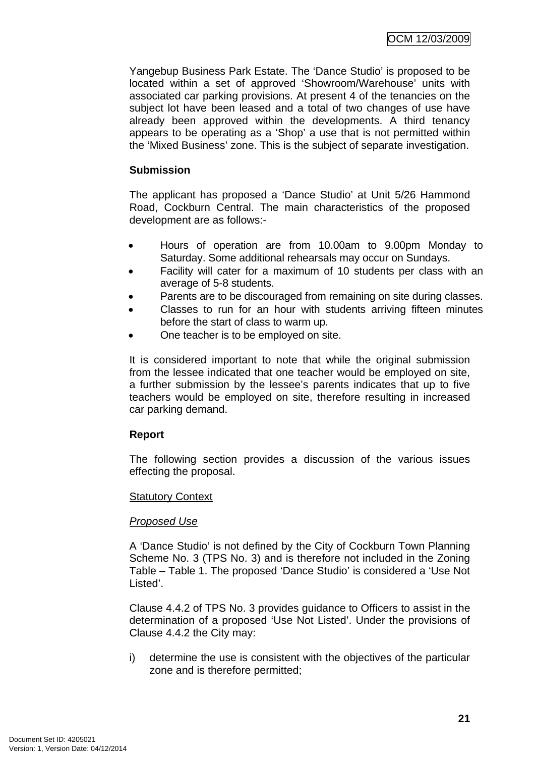Yangebup Business Park Estate. The 'Dance Studio' is proposed to be located within a set of approved 'Showroom/Warehouse' units with associated car parking provisions. At present 4 of the tenancies on the subject lot have been leased and a total of two changes of use have already been approved within the developments. A third tenancy appears to be operating as a 'Shop' a use that is not permitted within the 'Mixed Business' zone. This is the subject of separate investigation.

### **Submission**

The applicant has proposed a 'Dance Studio' at Unit 5/26 Hammond Road, Cockburn Central. The main characteristics of the proposed development are as follows:-

- Hours of operation are from 10.00am to 9.00pm Monday to Saturday. Some additional rehearsals may occur on Sundays.
- Facility will cater for a maximum of 10 students per class with an average of 5-8 students.
- Parents are to be discouraged from remaining on site during classes.
- Classes to run for an hour with students arriving fifteen minutes before the start of class to warm up.
- One teacher is to be employed on site.

It is considered important to note that while the original submission from the lessee indicated that one teacher would be employed on site, a further submission by the lessee's parents indicates that up to five teachers would be employed on site, therefore resulting in increased car parking demand.

### **Report**

The following section provides a discussion of the various issues effecting the proposal.

### Statutory Context

### *Proposed Use*

A 'Dance Studio' is not defined by the City of Cockburn Town Planning Scheme No. 3 (TPS No. 3) and is therefore not included in the Zoning Table – Table 1. The proposed 'Dance Studio' is considered a 'Use Not Listed'.

Clause 4.4.2 of TPS No. 3 provides guidance to Officers to assist in the determination of a proposed 'Use Not Listed'. Under the provisions of Clause 4.4.2 the City may:

i) determine the use is consistent with the objectives of the particular zone and is therefore permitted;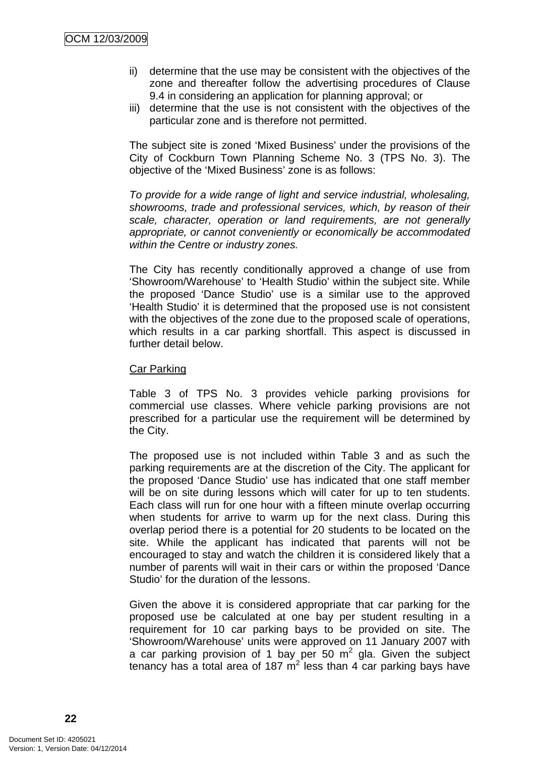- ii) determine that the use may be consistent with the objectives of the zone and thereafter follow the advertising procedures of Clause 9.4 in considering an application for planning approval; or
- iii) determine that the use is not consistent with the objectives of the particular zone and is therefore not permitted.

The subject site is zoned 'Mixed Business' under the provisions of the City of Cockburn Town Planning Scheme No. 3 (TPS No. 3). The objective of the 'Mixed Business' zone is as follows:

*To provide for a wide range of light and service industrial, wholesaling, showrooms, trade and professional services, which, by reason of their scale, character, operation or land requirements, are not generally appropriate, or cannot conveniently or economically be accommodated within the Centre or industry zones.* 

The City has recently conditionally approved a change of use from 'Showroom/Warehouse' to 'Health Studio' within the subject site. While the proposed 'Dance Studio' use is a similar use to the approved 'Health Studio' it is determined that the proposed use is not consistent with the objectives of the zone due to the proposed scale of operations, which results in a car parking shortfall. This aspect is discussed in further detail below.

#### Car Parking

Table 3 of TPS No. 3 provides vehicle parking provisions for commercial use classes. Where vehicle parking provisions are not prescribed for a particular use the requirement will be determined by the City.

The proposed use is not included within Table 3 and as such the parking requirements are at the discretion of the City. The applicant for the proposed 'Dance Studio' use has indicated that one staff member will be on site during lessons which will cater for up to ten students. Each class will run for one hour with a fifteen minute overlap occurring when students for arrive to warm up for the next class. During this overlap period there is a potential for 20 students to be located on the site. While the applicant has indicated that parents will not be encouraged to stay and watch the children it is considered likely that a number of parents will wait in their cars or within the proposed 'Dance Studio' for the duration of the lessons.

Given the above it is considered appropriate that car parking for the proposed use be calculated at one bay per student resulting in a requirement for 10 car parking bays to be provided on site. The 'Showroom/Warehouse' units were approved on 11 January 2007 with a car parking provision of 1 bay per 50  $m^2$  gla. Given the subject tenancy has a total area of 187  $m^2$  less than 4 car parking bays have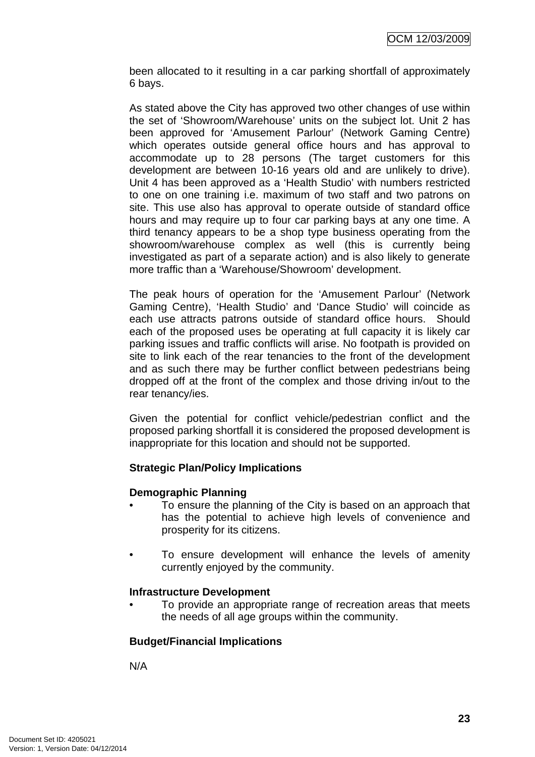been allocated to it resulting in a car parking shortfall of approximately 6 bays.

As stated above the City has approved two other changes of use within the set of 'Showroom/Warehouse' units on the subject lot. Unit 2 has been approved for 'Amusement Parlour' (Network Gaming Centre) which operates outside general office hours and has approval to accommodate up to 28 persons (The target customers for this development are between 10-16 years old and are unlikely to drive). Unit 4 has been approved as a 'Health Studio' with numbers restricted to one on one training i.e. maximum of two staff and two patrons on site. This use also has approval to operate outside of standard office hours and may require up to four car parking bays at any one time. A third tenancy appears to be a shop type business operating from the showroom/warehouse complex as well (this is currently being investigated as part of a separate action) and is also likely to generate more traffic than a 'Warehouse/Showroom' development.

The peak hours of operation for the 'Amusement Parlour' (Network Gaming Centre), 'Health Studio' and 'Dance Studio' will coincide as each use attracts patrons outside of standard office hours. Should each of the proposed uses be operating at full capacity it is likely car parking issues and traffic conflicts will arise. No footpath is provided on site to link each of the rear tenancies to the front of the development and as such there may be further conflict between pedestrians being dropped off at the front of the complex and those driving in/out to the rear tenancy/ies.

Given the potential for conflict vehicle/pedestrian conflict and the proposed parking shortfall it is considered the proposed development is inappropriate for this location and should not be supported.

## **Strategic Plan/Policy Implications**

### **Demographic Planning**

- To ensure the planning of the City is based on an approach that has the potential to achieve high levels of convenience and prosperity for its citizens.
- To ensure development will enhance the levels of amenity currently enjoyed by the community.

### **Infrastructure Development**

• To provide an appropriate range of recreation areas that meets the needs of all age groups within the community.

### **Budget/Financial Implications**

N/A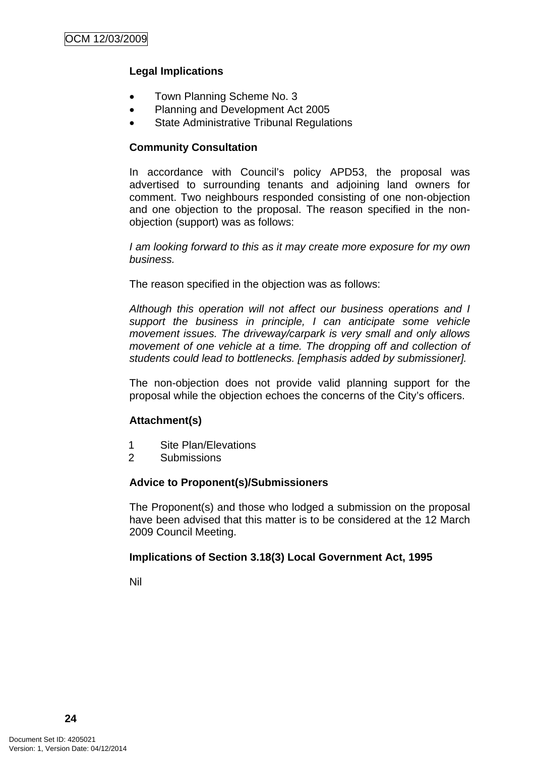### **Legal Implications**

- Town Planning Scheme No. 3
- Planning and Development Act 2005
- **State Administrative Tribunal Regulations**

### **Community Consultation**

In accordance with Council's policy APD53, the proposal was advertised to surrounding tenants and adjoining land owners for comment. Two neighbours responded consisting of one non-objection and one objection to the proposal. The reason specified in the nonobjection (support) was as follows:

*I am looking forward to this as it may create more exposure for my own business.* 

The reason specified in the objection was as follows:

*Although this operation will not affect our business operations and I support the business in principle, I can anticipate some vehicle movement issues. The driveway/carpark is very small and only allows movement of one vehicle at a time. The dropping off and collection of students could lead to bottlenecks. [emphasis added by submissioner].* 

The non-objection does not provide valid planning support for the proposal while the objection echoes the concerns of the City's officers.

### **Attachment(s)**

- 1 Site Plan/Elevations
- 2 Submissions

### **Advice to Proponent(s)/Submissioners**

The Proponent(s) and those who lodged a submission on the proposal have been advised that this matter is to be considered at the 12 March 2009 Council Meeting.

### **Implications of Section 3.18(3) Local Government Act, 1995**

Nil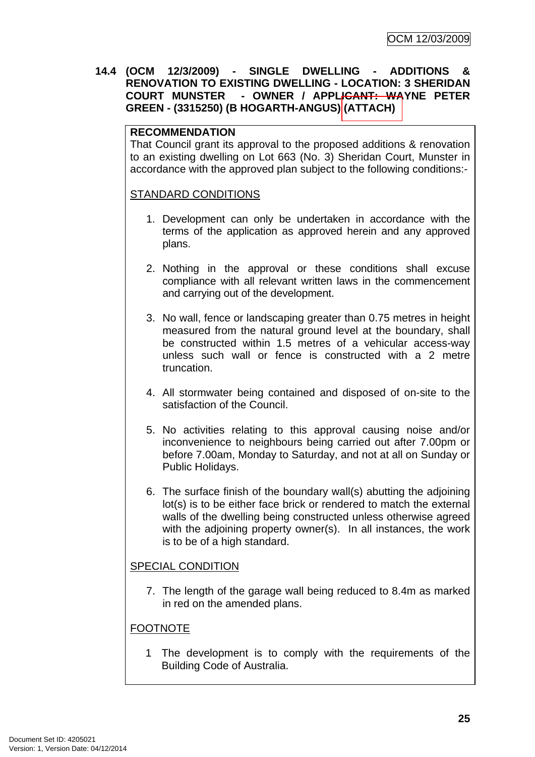### **14.4 (OCM 12/3/2009) - SINGLE DWELLING - ADDITIONS & RENOVATION TO EXISTING DWELLING - LOCATION: 3 SHERIDAN COURT MUNSTER - OWNER / APPLICANT: WAYNE PETER GREEN - (3315250) (B HOGARTH-ANGUS) (ATTACH)**

### **RECOMMENDATION**

That Council grant its approval to the proposed additions & renovation to an existing dwelling on Lot 663 (No. 3) Sheridan Court, Munster in accordance with the approved plan subject to the following conditions:-

### STANDARD CONDITIONS

- 1. Development can only be undertaken in accordance with the terms of the application as approved herein and any approved plans.
- 2. Nothing in the approval or these conditions shall excuse compliance with all relevant written laws in the commencement and carrying out of the development.
- 3. No wall, fence or landscaping greater than 0.75 metres in height measured from the natural ground level at the boundary, shall be constructed within 1.5 metres of a vehicular access-way unless such wall or fence is constructed with a 2 metre truncation.
- 4. All stormwater being contained and disposed of on-site to the satisfaction of the Council.
- 5. No activities relating to this approval causing noise and/or inconvenience to neighbours being carried out after 7.00pm or before 7.00am, Monday to Saturday, and not at all on Sunday or Public Holidays.
- 6. The surface finish of the boundary wall(s) abutting the adjoining lot(s) is to be either face brick or rendered to match the external walls of the dwelling being constructed unless otherwise agreed with the adjoining property owner(s). In all instances, the work is to be of a high standard.

### SPECIAL CONDITION

7. The length of the garage wall being reduced to 8.4m as marked in red on the amended plans.

### FOOTNOTE

1 The development is to comply with the requirements of the Building Code of Australia.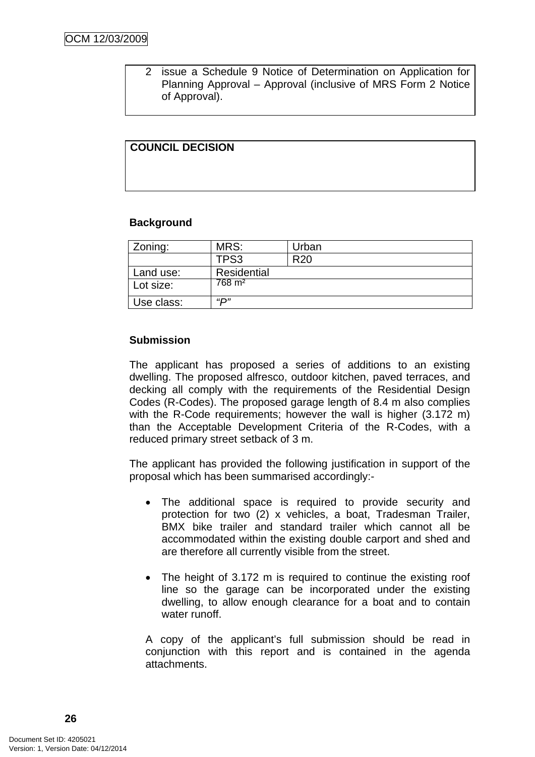2 issue a Schedule 9 Notice of Determination on Application for Planning Approval – Approval (inclusive of MRS Form 2 Notice of Approval).

### **COUNCIL DECISION**

#### **Background**

| Zoning:    | MRS:              | Urban           |
|------------|-------------------|-----------------|
|            | TPS3              | R <sub>20</sub> |
| Land use:  | Residential       |                 |
| Lot size:  | $768 \text{ m}^2$ |                 |
| Use class: | <i>יים</i> "      |                 |

### **Submission**

The applicant has proposed a series of additions to an existing dwelling. The proposed alfresco, outdoor kitchen, paved terraces, and decking all comply with the requirements of the Residential Design Codes (R-Codes). The proposed garage length of 8.4 m also complies with the R-Code requirements; however the wall is higher (3.172 m) than the Acceptable Development Criteria of the R-Codes, with a reduced primary street setback of 3 m.

The applicant has provided the following justification in support of the proposal which has been summarised accordingly:-

- The additional space is required to provide security and protection for two (2) x vehicles, a boat, Tradesman Trailer, BMX bike trailer and standard trailer which cannot all be accommodated within the existing double carport and shed and are therefore all currently visible from the street.
- The height of 3.172 m is required to continue the existing roof line so the garage can be incorporated under the existing dwelling, to allow enough clearance for a boat and to contain water runoff.

A copy of the applicant's full submission should be read in conjunction with this report and is contained in the agenda attachments.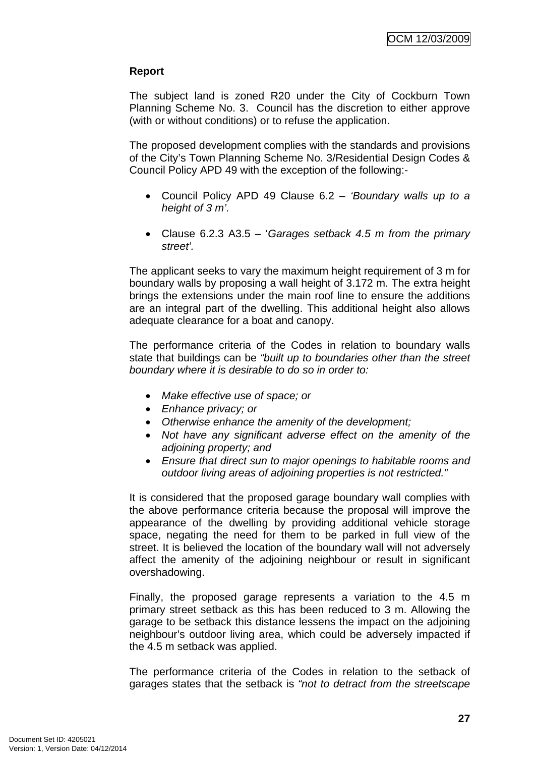### **Report**

The subject land is zoned R20 under the City of Cockburn Town Planning Scheme No. 3. Council has the discretion to either approve (with or without conditions) or to refuse the application.

The proposed development complies with the standards and provisions of the City's Town Planning Scheme No. 3/Residential Design Codes & Council Policy APD 49 with the exception of the following:-

- Council Policy APD 49 Clause 6.2 *'Boundary walls up to a height of 3 m'.*
- Clause 6.2.3 A3.5 '*Garages setback 4.5 m from the primary street'.*

The applicant seeks to vary the maximum height requirement of 3 m for boundary walls by proposing a wall height of 3.172 m. The extra height brings the extensions under the main roof line to ensure the additions are an integral part of the dwelling. This additional height also allows adequate clearance for a boat and canopy.

The performance criteria of the Codes in relation to boundary walls state that buildings can be *"built up to boundaries other than the street boundary where it is desirable to do so in order to:* 

- *Make effective use of space; or*
- *Enhance privacy; or*
- *Otherwise enhance the amenity of the development;*
- *Not have any significant adverse effect on the amenity of the adjoining property; and*
- *Ensure that direct sun to major openings to habitable rooms and outdoor living areas of adjoining properties is not restricted."*

It is considered that the proposed garage boundary wall complies with the above performance criteria because the proposal will improve the appearance of the dwelling by providing additional vehicle storage space, negating the need for them to be parked in full view of the street. It is believed the location of the boundary wall will not adversely affect the amenity of the adjoining neighbour or result in significant overshadowing.

Finally, the proposed garage represents a variation to the 4.5 m primary street setback as this has been reduced to 3 m. Allowing the garage to be setback this distance lessens the impact on the adjoining neighbour's outdoor living area, which could be adversely impacted if the 4.5 m setback was applied.

The performance criteria of the Codes in relation to the setback of garages states that the setback is *"not to detract from the streetscape*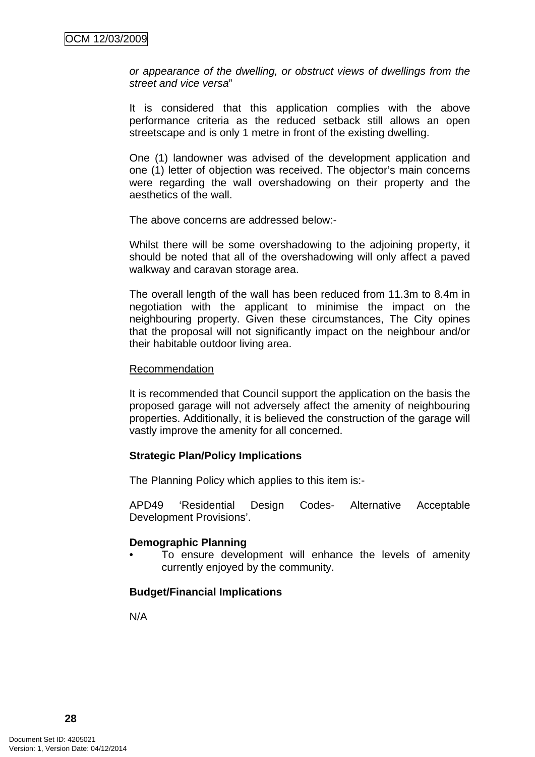*or appearance of the dwelling, or obstruct views of dwellings from the street and vice versa*"

It is considered that this application complies with the above performance criteria as the reduced setback still allows an open streetscape and is only 1 metre in front of the existing dwelling.

One (1) landowner was advised of the development application and one (1) letter of objection was received. The objector's main concerns were regarding the wall overshadowing on their property and the aesthetics of the wall.

The above concerns are addressed below:-

Whilst there will be some overshadowing to the adjoining property, it should be noted that all of the overshadowing will only affect a paved walkway and caravan storage area.

The overall length of the wall has been reduced from 11.3m to 8.4m in negotiation with the applicant to minimise the impact on the neighbouring property. Given these circumstances, The City opines that the proposal will not significantly impact on the neighbour and/or their habitable outdoor living area.

#### Recommendation

It is recommended that Council support the application on the basis the proposed garage will not adversely affect the amenity of neighbouring properties. Additionally, it is believed the construction of the garage will vastly improve the amenity for all concerned.

#### **Strategic Plan/Policy Implications**

The Planning Policy which applies to this item is:-

APD49 'Residential Design Codes- Alternative Acceptable Development Provisions'.

#### **Demographic Planning**

To ensure development will enhance the levels of amenity currently enjoyed by the community.

### **Budget/Financial Implications**

N/A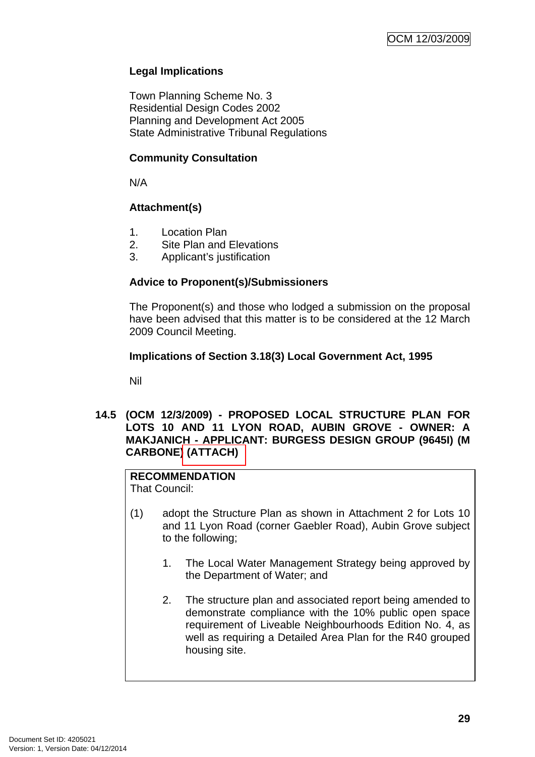## **Legal Implications**

Town Planning Scheme No. 3 Residential Design Codes 2002 Planning and Development Act 2005 State Administrative Tribunal Regulations

### **Community Consultation**

N/A

## **Attachment(s)**

- 1. Location Plan
- 2. Site Plan and Elevations
- 3. Applicant's justification

### **Advice to Proponent(s)/Submissioners**

The Proponent(s) and those who lodged a submission on the proposal have been advised that this matter is to be considered at the 12 March 2009 Council Meeting.

### **Implications of Section 3.18(3) Local Government Act, 1995**

Nil

### **14.5 (OCM 12/3/2009) - PROPOSED LOCAL STRUCTURE PLAN FOR LOTS 10 AND 11 LYON ROAD, AUBIN GROVE - OWNER: A MAKJANICH - APPLICANT: BURGESS DESIGN GROUP (9645I) (M CARBONE) (ATTACH)**

# **RECOMMENDATION**

That Council:

- (1) adopt the Structure Plan as shown in Attachment 2 for Lots 10 and 11 Lyon Road (corner Gaebler Road), Aubin Grove subject to the following;
	- 1. The Local Water Management Strategy being approved by the Department of Water; and
	- 2. The structure plan and associated report being amended to demonstrate compliance with the 10% public open space requirement of Liveable Neighbourhoods Edition No. 4, as well as requiring a Detailed Area Plan for the R40 grouped housing site.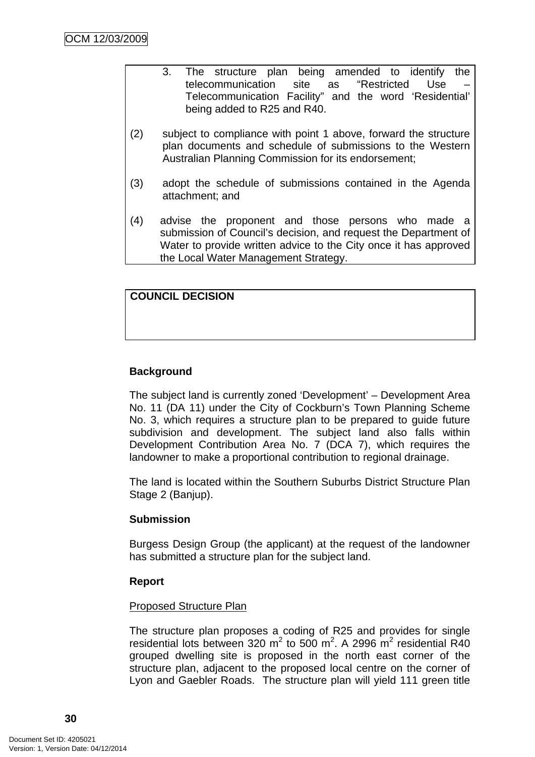- 3. The structure plan being amended to identify the telecommunication site as "Restricted Use – Telecommunication Facility" and the word 'Residential' being added to R25 and R40.
- (2) subject to compliance with point 1 above, forward the structure plan documents and schedule of submissions to the Western Australian Planning Commission for its endorsement;
- (3) adopt the schedule of submissions contained in the Agenda attachment; and
- (4) advise the proponent and those persons who made a submission of Council's decision, and request the Department of Water to provide written advice to the City once it has approved the Local Water Management Strategy.

## **COUNCIL DECISION**

## **Background**

The subject land is currently zoned 'Development' – Development Area No. 11 (DA 11) under the City of Cockburn's Town Planning Scheme No. 3, which requires a structure plan to be prepared to guide future subdivision and development. The subject land also falls within Development Contribution Area No. 7 (DCA 7), which requires the landowner to make a proportional contribution to regional drainage.

The land is located within the Southern Suburbs District Structure Plan Stage 2 (Banjup).

### **Submission**

Burgess Design Group (the applicant) at the request of the landowner has submitted a structure plan for the subject land.

#### **Report**

#### Proposed Structure Plan

The structure plan proposes a coding of R25 and provides for single residential lots between 320 m<sup>2</sup> to 500 m<sup>2</sup>. A 2996 m<sup>2</sup> residential R40 grouped dwelling site is proposed in the north east corner of the structure plan, adjacent to the proposed local centre on the corner of Lyon and Gaebler Roads. The structure plan will yield 111 green title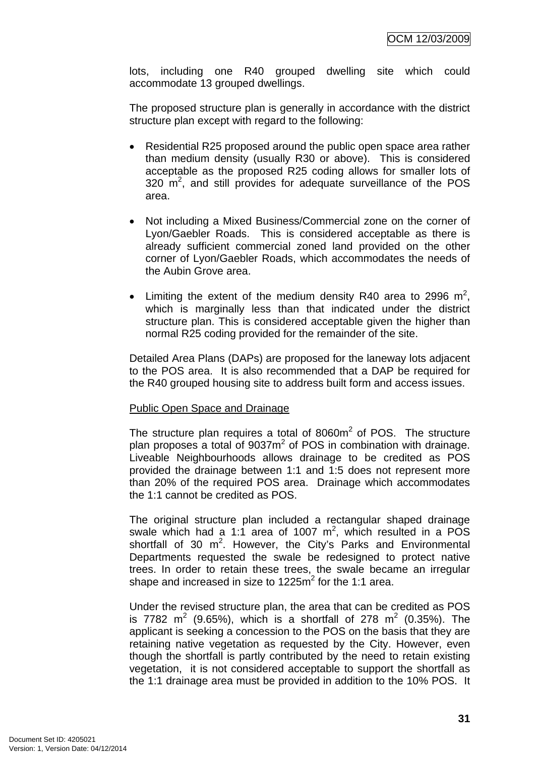lots, including one R40 grouped dwelling site which could accommodate 13 grouped dwellings.

The proposed structure plan is generally in accordance with the district structure plan except with regard to the following:

- Residential R25 proposed around the public open space area rather than medium density (usually R30 or above). This is considered acceptable as the proposed R25 coding allows for smaller lots of  $320 \text{ m}^2$ , and still provides for adequate surveillance of the POS area.
- Not including a Mixed Business/Commercial zone on the corner of Lyon/Gaebler Roads. This is considered acceptable as there is already sufficient commercial zoned land provided on the other corner of Lyon/Gaebler Roads, which accommodates the needs of the Aubin Grove area.
- Limiting the extent of the medium density R40 area to 2996  $m^2$ , which is marginally less than that indicated under the district structure plan. This is considered acceptable given the higher than normal R25 coding provided for the remainder of the site.

Detailed Area Plans (DAPs) are proposed for the laneway lots adjacent to the POS area. It is also recommended that a DAP be required for the R40 grouped housing site to address built form and access issues.

### Public Open Space and Drainage

The structure plan requires a total of 8060 $m<sup>2</sup>$  of POS. The structure plan proposes a total of 9037m<sup>2</sup> of POS in combination with drainage. Liveable Neighbourhoods allows drainage to be credited as POS provided the drainage between 1:1 and 1:5 does not represent more than 20% of the required POS area. Drainage which accommodates the 1:1 cannot be credited as POS.

The original structure plan included a rectangular shaped drainage swale which had a 1:1 area of 1007  $m^2$ , which resulted in a POS shortfall of 30  $m^2$ . However, the City's Parks and Environmental Departments requested the swale be redesigned to protect native trees. In order to retain these trees, the swale became an irregular shape and increased in size to 1225 $m^2$  for the 1:1 area.

Under the revised structure plan, the area that can be credited as POS is 7782 m<sup>2</sup> (9.65%), which is a shortfall of 278 m<sup>2</sup> (0.35%). The applicant is seeking a concession to the POS on the basis that they are retaining native vegetation as requested by the City. However, even though the shortfall is partly contributed by the need to retain existing vegetation, it is not considered acceptable to support the shortfall as the 1:1 drainage area must be provided in addition to the 10% POS. It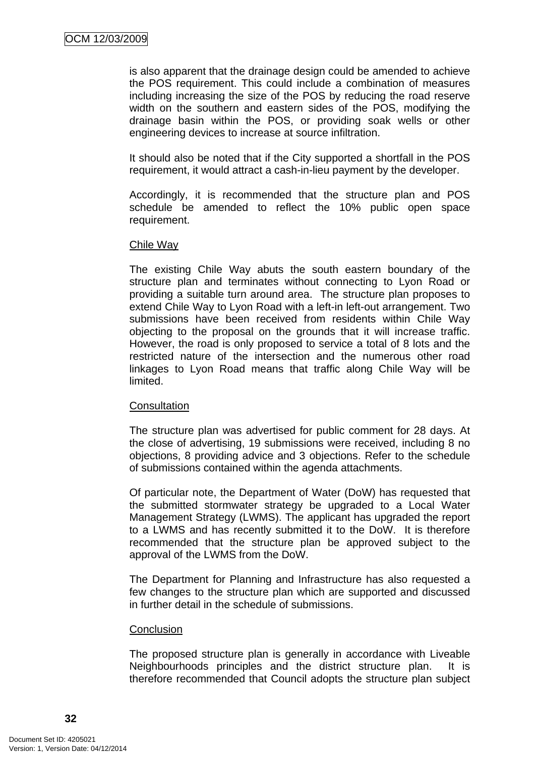is also apparent that the drainage design could be amended to achieve the POS requirement. This could include a combination of measures including increasing the size of the POS by reducing the road reserve width on the southern and eastern sides of the POS, modifying the drainage basin within the POS, or providing soak wells or other engineering devices to increase at source infiltration.

It should also be noted that if the City supported a shortfall in the POS requirement, it would attract a cash-in-lieu payment by the developer.

Accordingly, it is recommended that the structure plan and POS schedule be amended to reflect the 10% public open space requirement.

#### Chile Way

The existing Chile Way abuts the south eastern boundary of the structure plan and terminates without connecting to Lyon Road or providing a suitable turn around area. The structure plan proposes to extend Chile Way to Lyon Road with a left-in left-out arrangement. Two submissions have been received from residents within Chile Way objecting to the proposal on the grounds that it will increase traffic. However, the road is only proposed to service a total of 8 lots and the restricted nature of the intersection and the numerous other road linkages to Lyon Road means that traffic along Chile Way will be limited.

### **Consultation**

The structure plan was advertised for public comment for 28 days. At the close of advertising, 19 submissions were received, including 8 no objections, 8 providing advice and 3 objections. Refer to the schedule of submissions contained within the agenda attachments.

Of particular note, the Department of Water (DoW) has requested that the submitted stormwater strategy be upgraded to a Local Water Management Strategy (LWMS). The applicant has upgraded the report to a LWMS and has recently submitted it to the DoW. It is therefore recommended that the structure plan be approved subject to the approval of the LWMS from the DoW.

The Department for Planning and Infrastructure has also requested a few changes to the structure plan which are supported and discussed in further detail in the schedule of submissions.

#### **Conclusion**

The proposed structure plan is generally in accordance with Liveable Neighbourhoods principles and the district structure plan. It is therefore recommended that Council adopts the structure plan subject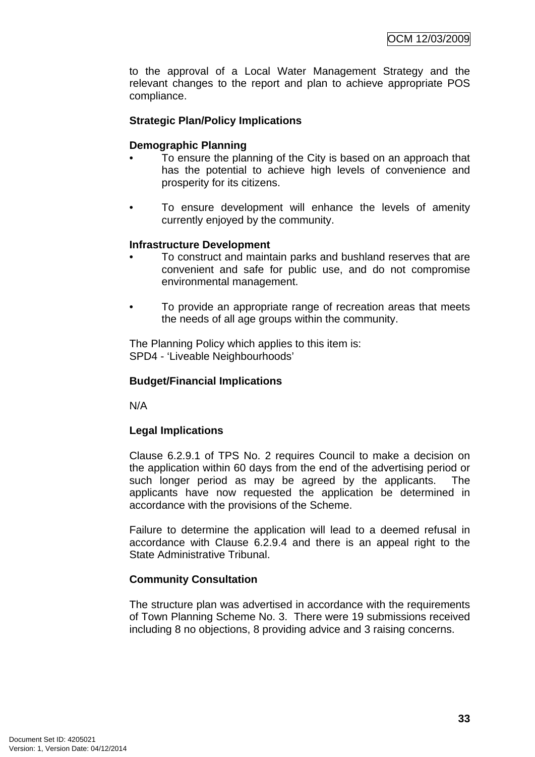to the approval of a Local Water Management Strategy and the relevant changes to the report and plan to achieve appropriate POS compliance.

# **Strategic Plan/Policy Implications**

#### **Demographic Planning**

- To ensure the planning of the City is based on an approach that has the potential to achieve high levels of convenience and prosperity for its citizens.
- To ensure development will enhance the levels of amenity currently enjoyed by the community.

#### **Infrastructure Development**

- To construct and maintain parks and bushland reserves that are convenient and safe for public use, and do not compromise environmental management.
- To provide an appropriate range of recreation areas that meets the needs of all age groups within the community.

The Planning Policy which applies to this item is: SPD4 - 'Liveable Neighbourhoods'

#### **Budget/Financial Implications**

N/A

# **Legal Implications**

Clause 6.2.9.1 of TPS No. 2 requires Council to make a decision on the application within 60 days from the end of the advertising period or such longer period as may be agreed by the applicants. The applicants have now requested the application be determined in accordance with the provisions of the Scheme.

Failure to determine the application will lead to a deemed refusal in accordance with Clause 6.2.9.4 and there is an appeal right to the State Administrative Tribunal.

# **Community Consultation**

The structure plan was advertised in accordance with the requirements of Town Planning Scheme No. 3. There were 19 submissions received including 8 no objections, 8 providing advice and 3 raising concerns.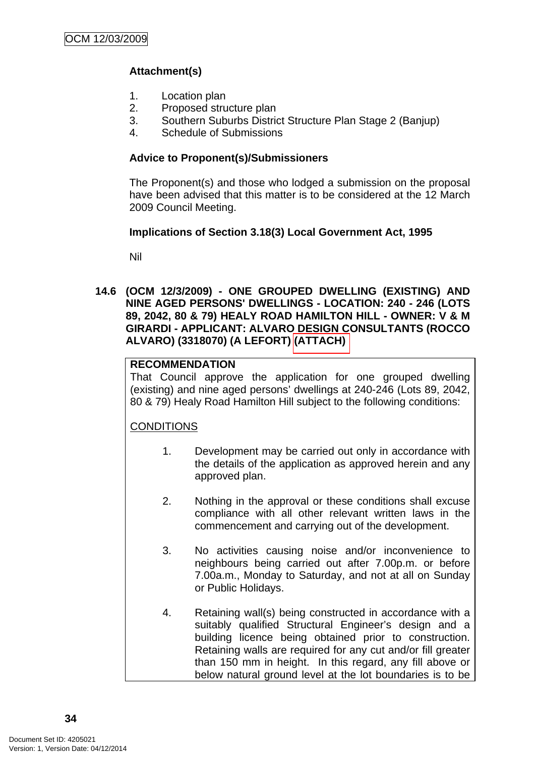# **Attachment(s)**

- 1. Location plan
- 2. Proposed structure plan
- 3. Southern Suburbs District Structure Plan Stage 2 (Banjup)
- 4. Schedule of Submissions

# **Advice to Proponent(s)/Submissioners**

The Proponent(s) and those who lodged a submission on the proposal have been advised that this matter is to be considered at the 12 March 2009 Council Meeting.

# **Implications of Section 3.18(3) Local Government Act, 1995**

Nil

**14.6 (OCM 12/3/2009) - ONE GROUPED DWELLING (EXISTING) AND NINE AGED PERSONS' DWELLINGS - LOCATION: 240 - 246 (LOTS 89, 2042, 80 & 79) HEALY ROAD HAMILTON HILL - OWNER: V & M GIRARDI - APPLICANT: ALVARO DESIGN CONSULTANTS (ROCCO ALVARO) (3318070) (A LEFORT) (ATTACH)** 

# **RECOMMENDATION**

That Council approve the application for one grouped dwelling (existing) and nine aged persons' dwellings at 240-246 (Lots 89, 2042, 80 & 79) Healy Road Hamilton Hill subject to the following conditions:

# **CONDITIONS**

- 1. Development may be carried out only in accordance with the details of the application as approved herein and any approved plan.
- 2. Nothing in the approval or these conditions shall excuse compliance with all other relevant written laws in the commencement and carrying out of the development.
- 3. No activities causing noise and/or inconvenience to neighbours being carried out after 7.00p.m. or before 7.00a.m., Monday to Saturday, and not at all on Sunday or Public Holidays.
- 4. Retaining wall(s) being constructed in accordance with a suitably qualified Structural Engineer's design and a building licence being obtained prior to construction. Retaining walls are required for any cut and/or fill greater than 150 mm in height. In this regard, any fill above or below natural ground level at the lot boundaries is to be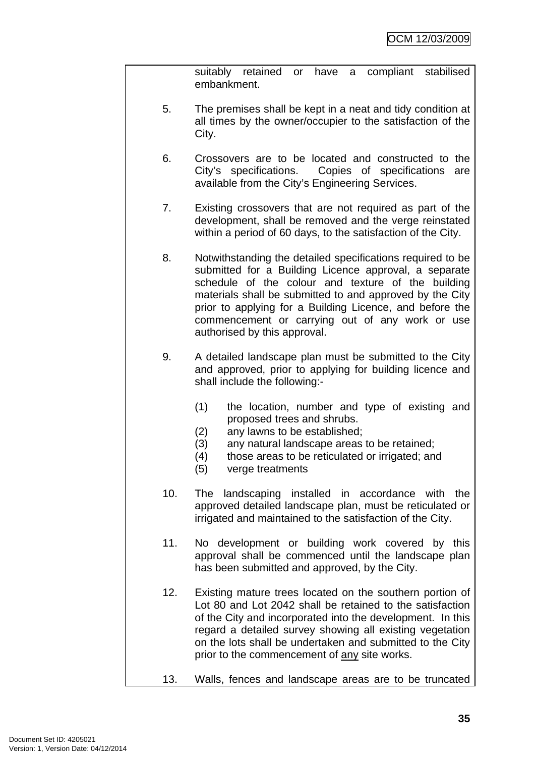suitably retained or have a compliant stabilised embankment.

- 5. The premises shall be kept in a neat and tidy condition at all times by the owner/occupier to the satisfaction of the City.
- 6. Crossovers are to be located and constructed to the City's specifications. Copies of specifications are available from the City's Engineering Services.
- 7. Existing crossovers that are not required as part of the development, shall be removed and the verge reinstated within a period of 60 days, to the satisfaction of the City.
- 8. Notwithstanding the detailed specifications required to be submitted for a Building Licence approval, a separate schedule of the colour and texture of the building materials shall be submitted to and approved by the City prior to applying for a Building Licence, and before the commencement or carrying out of any work or use authorised by this approval.
- 9. A detailed landscape plan must be submitted to the City and approved, prior to applying for building licence and shall include the following:-
	- (1) the location, number and type of existing and proposed trees and shrubs.
	- (2) any lawns to be established;
	- (3) any natural landscape areas to be retained;
	- (4) those areas to be reticulated or irrigated; and
	- (5) verge treatments
- 10. The landscaping installed in accordance with the approved detailed landscape plan, must be reticulated or irrigated and maintained to the satisfaction of the City.
- 11. No development or building work covered by this approval shall be commenced until the landscape plan has been submitted and approved, by the City.
- 12. Existing mature trees located on the southern portion of Lot 80 and Lot 2042 shall be retained to the satisfaction of the City and incorporated into the development. In this regard a detailed survey showing all existing vegetation on the lots shall be undertaken and submitted to the City prior to the commencement of any site works.
- 13. Walls, fences and landscape areas are to be truncated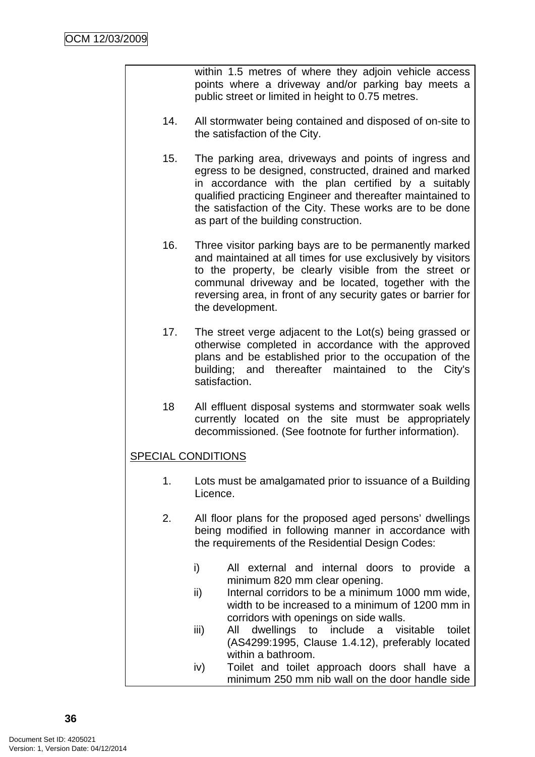within 1.5 metres of where they adjoin vehicle access points where a driveway and/or parking bay meets a public street or limited in height to 0.75 metres.

- 14. All stormwater being contained and disposed of on-site to the satisfaction of the City.
- 15. The parking area, driveways and points of ingress and egress to be designed, constructed, drained and marked in accordance with the plan certified by a suitably qualified practicing Engineer and thereafter maintained to the satisfaction of the City. These works are to be done as part of the building construction.
- 16. Three visitor parking bays are to be permanently marked and maintained at all times for use exclusively by visitors to the property, be clearly visible from the street or communal driveway and be located, together with the reversing area, in front of any security gates or barrier for the development.
- 17. The street verge adjacent to the Lot(s) being grassed or otherwise completed in accordance with the approved plans and be established prior to the occupation of the building; and thereafter maintained to the City's satisfaction.
- 18 All effluent disposal systems and stormwater soak wells currently located on the site must be appropriately decommissioned. (See footnote for further information).

# SPECIAL CONDITIONS

- 1. Lots must be amalgamated prior to issuance of a Building Licence.
- 2. All floor plans for the proposed aged persons' dwellings being modified in following manner in accordance with the requirements of the Residential Design Codes:
	- i) All external and internal doors to provide a minimum 820 mm clear opening.
	- ii) Internal corridors to be a minimum 1000 mm wide, width to be increased to a minimum of 1200 mm in corridors with openings on side walls.
	- iii) All dwellings to include a visitable toilet (AS4299:1995, Clause 1.4.12), preferably located within a bathroom.
	- iv) Toilet and toilet approach doors shall have a minimum 250 mm nib wall on the door handle side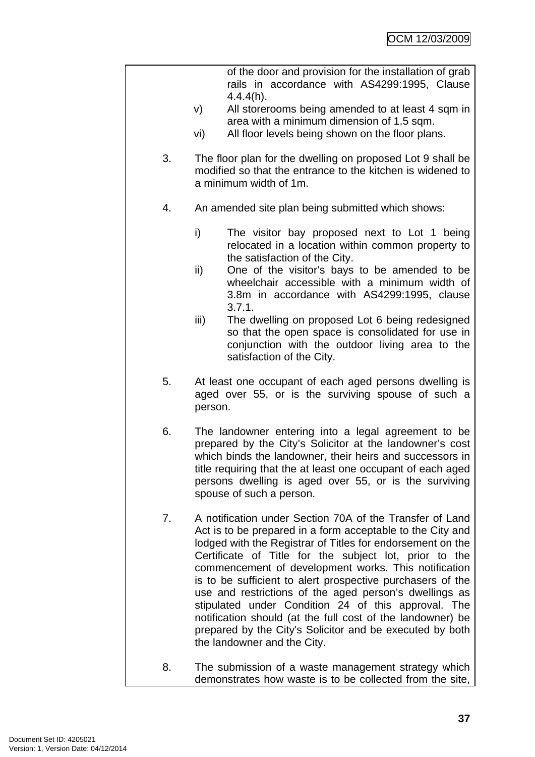|    | of the door and provision for the installation of grab<br>rails in accordance with AS4299:1995, Clause                                                                                                                                                                                                                                                                                                                                                                                                                                                                                                                                         |  |
|----|------------------------------------------------------------------------------------------------------------------------------------------------------------------------------------------------------------------------------------------------------------------------------------------------------------------------------------------------------------------------------------------------------------------------------------------------------------------------------------------------------------------------------------------------------------------------------------------------------------------------------------------------|--|
|    | 4.4.4(h).<br>All storerooms being amended to at least 4 sqm in<br>V)                                                                                                                                                                                                                                                                                                                                                                                                                                                                                                                                                                           |  |
|    | area with a minimum dimension of 1.5 sqm.<br>All floor levels being shown on the floor plans.<br>vi)                                                                                                                                                                                                                                                                                                                                                                                                                                                                                                                                           |  |
| 3. | The floor plan for the dwelling on proposed Lot 9 shall be<br>modified so that the entrance to the kitchen is widened to<br>a minimum width of 1m.                                                                                                                                                                                                                                                                                                                                                                                                                                                                                             |  |
| 4. | An amended site plan being submitted which shows:                                                                                                                                                                                                                                                                                                                                                                                                                                                                                                                                                                                              |  |
|    | i)<br>The visitor bay proposed next to Lot 1 being<br>relocated in a location within common property to<br>the satisfaction of the City.                                                                                                                                                                                                                                                                                                                                                                                                                                                                                                       |  |
|    | One of the visitor's bays to be amended to be<br>ii)<br>wheelchair accessible with a minimum width of<br>3.8m in accordance with AS4299:1995, clause<br>3.7.1.                                                                                                                                                                                                                                                                                                                                                                                                                                                                                 |  |
|    | iii)<br>The dwelling on proposed Lot 6 being redesigned<br>so that the open space is consolidated for use in<br>conjunction with the outdoor living area to the<br>satisfaction of the City.                                                                                                                                                                                                                                                                                                                                                                                                                                                   |  |
| 5. | At least one occupant of each aged persons dwelling is<br>aged over 55, or is the surviving spouse of such a<br>person.                                                                                                                                                                                                                                                                                                                                                                                                                                                                                                                        |  |
| 6. | The landowner entering into a legal agreement to be<br>prepared by the City's Solicitor at the landowner's cost<br>which binds the landowner, their heirs and successors in<br>title requiring that the at least one occupant of each aged<br>persons dwelling is aged over 55, or is the surviving<br>spouse of such a person.                                                                                                                                                                                                                                                                                                                |  |
| 7. | A notification under Section 70A of the Transfer of Land<br>Act is to be prepared in a form acceptable to the City and<br>lodged with the Registrar of Titles for endorsement on the<br>Certificate of Title for the subject lot, prior to the<br>commencement of development works. This notification<br>is to be sufficient to alert prospective purchasers of the<br>use and restrictions of the aged person's dwellings as<br>stipulated under Condition 24 of this approval. The<br>notification should (at the full cost of the landowner) be<br>prepared by the City's Solicitor and be executed by both<br>the landowner and the City. |  |
| 8. | The submission of a waste management strategy which<br>demonstrates how waste is to be collected from the site,                                                                                                                                                                                                                                                                                                                                                                                                                                                                                                                                |  |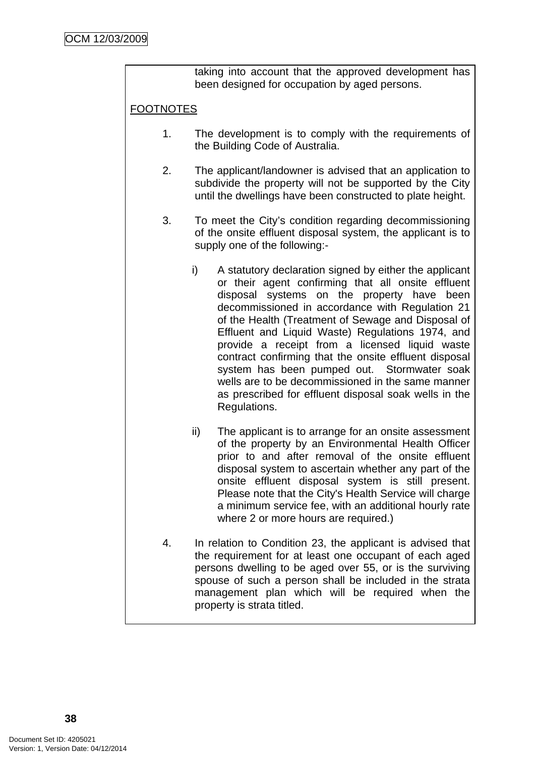taking into account that the approved development has been designed for occupation by aged persons.

# FOOTNOTES

- 1. The development is to comply with the requirements of the Building Code of Australia.
- 2. The applicant/landowner is advised that an application to subdivide the property will not be supported by the City until the dwellings have been constructed to plate height.
- 3. To meet the City's condition regarding decommissioning of the onsite effluent disposal system, the applicant is to supply one of the following:
	- i) A statutory declaration signed by either the applicant or their agent confirming that all onsite effluent disposal systems on the property have been decommissioned in accordance with Regulation 21 of the Health (Treatment of Sewage and Disposal of Effluent and Liquid Waste) Regulations 1974, and provide a receipt from a licensed liquid waste contract confirming that the onsite effluent disposal system has been pumped out. Stormwater soak wells are to be decommissioned in the same manner as prescribed for effluent disposal soak wells in the Regulations.
	- ii) The applicant is to arrange for an onsite assessment of the property by an Environmental Health Officer prior to and after removal of the onsite effluent disposal system to ascertain whether any part of the onsite effluent disposal system is still present. Please note that the City's Health Service will charge a minimum service fee, with an additional hourly rate where 2 or more hours are required.)
- 4. In relation to Condition 23, the applicant is advised that the requirement for at least one occupant of each aged persons dwelling to be aged over 55, or is the surviving spouse of such a person shall be included in the strata management plan which will be required when the property is strata titled.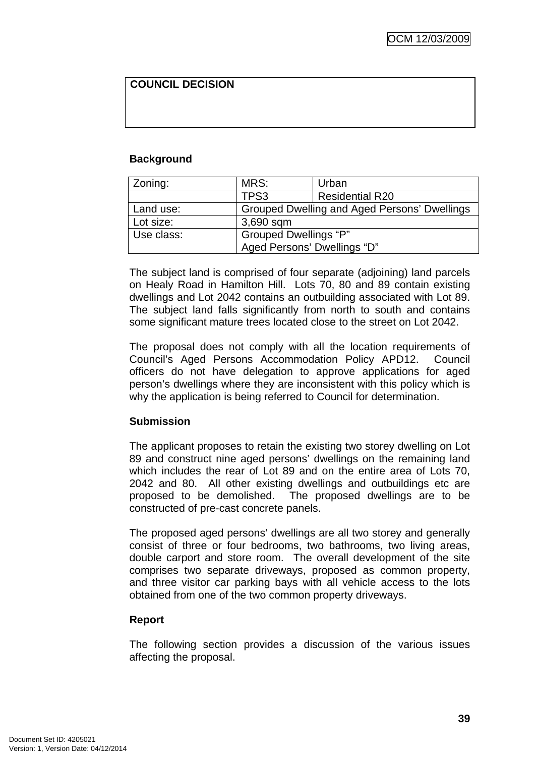# **COUNCIL DECISION**

# **Background**

| Zoning:    | MRS:                                         | Urban                  |  |
|------------|----------------------------------------------|------------------------|--|
|            | TPS3                                         | <b>Residential R20</b> |  |
| Land use:  | Grouped Dwelling and Aged Persons' Dwellings |                        |  |
| Lot size:  | 3,690 sqm                                    |                        |  |
| Use class: | Grouped Dwellings "P"                        |                        |  |
|            | Aged Persons' Dwellings "D"                  |                        |  |

The subject land is comprised of four separate (adjoining) land parcels on Healy Road in Hamilton Hill. Lots 70, 80 and 89 contain existing dwellings and Lot 2042 contains an outbuilding associated with Lot 89. The subject land falls significantly from north to south and contains some significant mature trees located close to the street on Lot 2042.

The proposal does not comply with all the location requirements of Council's Aged Persons Accommodation Policy APD12. Council officers do not have delegation to approve applications for aged person's dwellings where they are inconsistent with this policy which is why the application is being referred to Council for determination.

# **Submission**

The applicant proposes to retain the existing two storey dwelling on Lot 89 and construct nine aged persons' dwellings on the remaining land which includes the rear of Lot 89 and on the entire area of Lots 70, 2042 and 80. All other existing dwellings and outbuildings etc are proposed to be demolished. The proposed dwellings are to be constructed of pre-cast concrete panels.

The proposed aged persons' dwellings are all two storey and generally consist of three or four bedrooms, two bathrooms, two living areas, double carport and store room. The overall development of the site comprises two separate driveways, proposed as common property, and three visitor car parking bays with all vehicle access to the lots obtained from one of the two common property driveways.

# **Report**

The following section provides a discussion of the various issues affecting the proposal.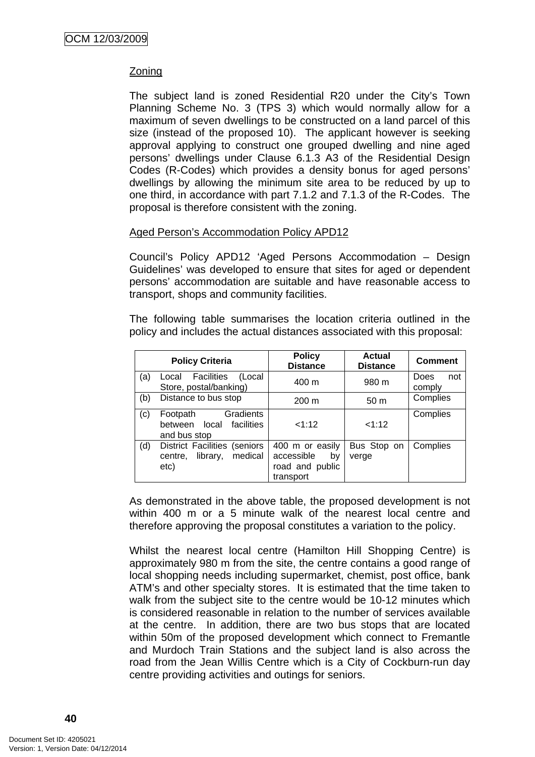# Zoning

The subject land is zoned Residential R20 under the City's Town Planning Scheme No. 3 (TPS 3) which would normally allow for a maximum of seven dwellings to be constructed on a land parcel of this size (instead of the proposed 10). The applicant however is seeking approval applying to construct one grouped dwelling and nine aged persons' dwellings under Clause 6.1.3 A3 of the Residential Design Codes (R-Codes) which provides a density bonus for aged persons' dwellings by allowing the minimum site area to be reduced by up to one third, in accordance with part 7.1.2 and 7.1.3 of the R-Codes. The proposal is therefore consistent with the zoning.

# Aged Person's Accommodation Policy APD12

Council's Policy APD12 'Aged Persons Accommodation – Design Guidelines' was developed to ensure that sites for aged or dependent persons' accommodation are suitable and have reasonable access to transport, shops and community facilities.

The following table summarises the location criteria outlined in the policy and includes the actual distances associated with this proposal:

| <b>Policy Criteria</b> |                                                                               | <b>Policy</b><br><b>Distance</b>                                    | <b>Actual</b><br><b>Distance</b> | <b>Comment</b>        |
|------------------------|-------------------------------------------------------------------------------|---------------------------------------------------------------------|----------------------------------|-----------------------|
| (a)                    | <b>Facilities</b><br>(Local<br>Local<br>Store, postal/banking)                | 400 m                                                               | 980 m                            | Does<br>not<br>comply |
| (b)                    | Distance to bus stop                                                          | $200 \text{ m}$                                                     | 50 <sub>m</sub>                  | Complies              |
| (c)                    | Gradients<br>Footpath<br>facilities<br>local<br>between<br>and bus stop       | <1:12                                                               | <1:12                            | Complies              |
| (d)                    | <b>District Facilities (seniors</b><br>medical<br>library,<br>centre,<br>etc) | 400 m or easily<br>accessible<br>by<br>road and public<br>transport | Bus Stop on<br>verge             | Complies              |

As demonstrated in the above table, the proposed development is not within 400 m or a 5 minute walk of the nearest local centre and therefore approving the proposal constitutes a variation to the policy.

Whilst the nearest local centre (Hamilton Hill Shopping Centre) is approximately 980 m from the site, the centre contains a good range of local shopping needs including supermarket, chemist, post office, bank ATM's and other specialty stores. It is estimated that the time taken to walk from the subject site to the centre would be 10-12 minutes which is considered reasonable in relation to the number of services available at the centre. In addition, there are two bus stops that are located within 50m of the proposed development which connect to Fremantle and Murdoch Train Stations and the subject land is also across the road from the Jean Willis Centre which is a City of Cockburn-run day centre providing activities and outings for seniors.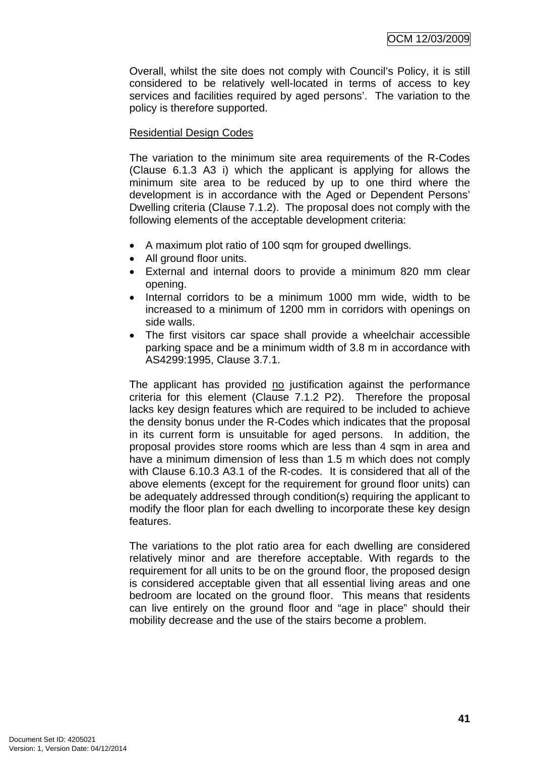Overall, whilst the site does not comply with Council's Policy, it is still considered to be relatively well-located in terms of access to key services and facilities required by aged persons'. The variation to the policy is therefore supported.

# Residential Design Codes

The variation to the minimum site area requirements of the R-Codes (Clause 6.1.3 A3 i) which the applicant is applying for allows the minimum site area to be reduced by up to one third where the development is in accordance with the Aged or Dependent Persons' Dwelling criteria (Clause 7.1.2). The proposal does not comply with the following elements of the acceptable development criteria:

- A maximum plot ratio of 100 sqm for grouped dwellings.
- All ground floor units.
- External and internal doors to provide a minimum 820 mm clear opening.
- Internal corridors to be a minimum 1000 mm wide, width to be increased to a minimum of 1200 mm in corridors with openings on side walls.
- The first visitors car space shall provide a wheelchair accessible parking space and be a minimum width of 3.8 m in accordance with AS4299:1995, Clause 3.7.1.

The applicant has provided no justification against the performance criteria for this element (Clause 7.1.2 P2). Therefore the proposal lacks key design features which are required to be included to achieve the density bonus under the R-Codes which indicates that the proposal in its current form is unsuitable for aged persons. In addition, the proposal provides store rooms which are less than 4 sqm in area and have a minimum dimension of less than 1.5 m which does not comply with Clause 6.10.3 A3.1 of the R-codes. It is considered that all of the above elements (except for the requirement for ground floor units) can be adequately addressed through condition(s) requiring the applicant to modify the floor plan for each dwelling to incorporate these key design features.

The variations to the plot ratio area for each dwelling are considered relatively minor and are therefore acceptable. With regards to the requirement for all units to be on the ground floor, the proposed design is considered acceptable given that all essential living areas and one bedroom are located on the ground floor. This means that residents can live entirely on the ground floor and "age in place" should their mobility decrease and the use of the stairs become a problem.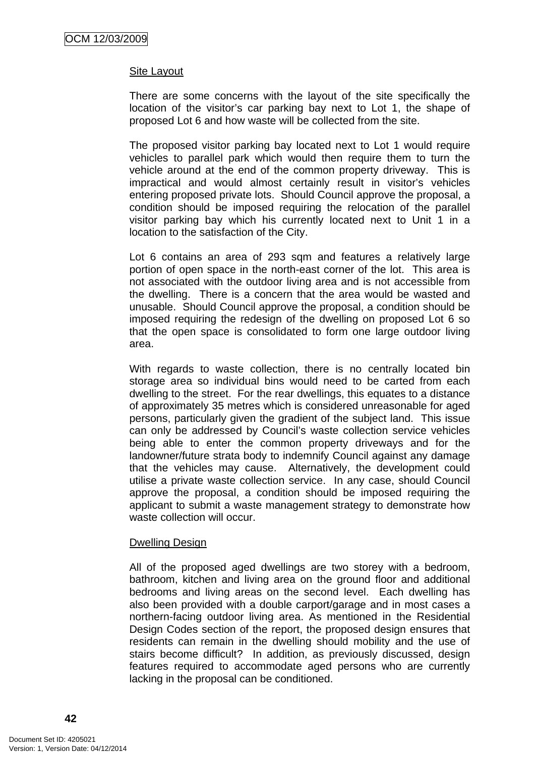#### Site Layout

There are some concerns with the layout of the site specifically the location of the visitor's car parking bay next to Lot 1, the shape of proposed Lot 6 and how waste will be collected from the site.

The proposed visitor parking bay located next to Lot 1 would require vehicles to parallel park which would then require them to turn the vehicle around at the end of the common property driveway. This is impractical and would almost certainly result in visitor's vehicles entering proposed private lots. Should Council approve the proposal, a condition should be imposed requiring the relocation of the parallel visitor parking bay which his currently located next to Unit 1 in a location to the satisfaction of the City.

Lot 6 contains an area of 293 sqm and features a relatively large portion of open space in the north-east corner of the lot. This area is not associated with the outdoor living area and is not accessible from the dwelling. There is a concern that the area would be wasted and unusable. Should Council approve the proposal, a condition should be imposed requiring the redesign of the dwelling on proposed Lot 6 so that the open space is consolidated to form one large outdoor living area.

With regards to waste collection, there is no centrally located bin storage area so individual bins would need to be carted from each dwelling to the street. For the rear dwellings, this equates to a distance of approximately 35 metres which is considered unreasonable for aged persons, particularly given the gradient of the subject land. This issue can only be addressed by Council's waste collection service vehicles being able to enter the common property driveways and for the landowner/future strata body to indemnify Council against any damage that the vehicles may cause. Alternatively, the development could utilise a private waste collection service. In any case, should Council approve the proposal, a condition should be imposed requiring the applicant to submit a waste management strategy to demonstrate how waste collection will occur.

#### Dwelling Design

All of the proposed aged dwellings are two storey with a bedroom, bathroom, kitchen and living area on the ground floor and additional bedrooms and living areas on the second level. Each dwelling has also been provided with a double carport/garage and in most cases a northern-facing outdoor living area. As mentioned in the Residential Design Codes section of the report, the proposed design ensures that residents can remain in the dwelling should mobility and the use of stairs become difficult? In addition, as previously discussed, design features required to accommodate aged persons who are currently lacking in the proposal can be conditioned.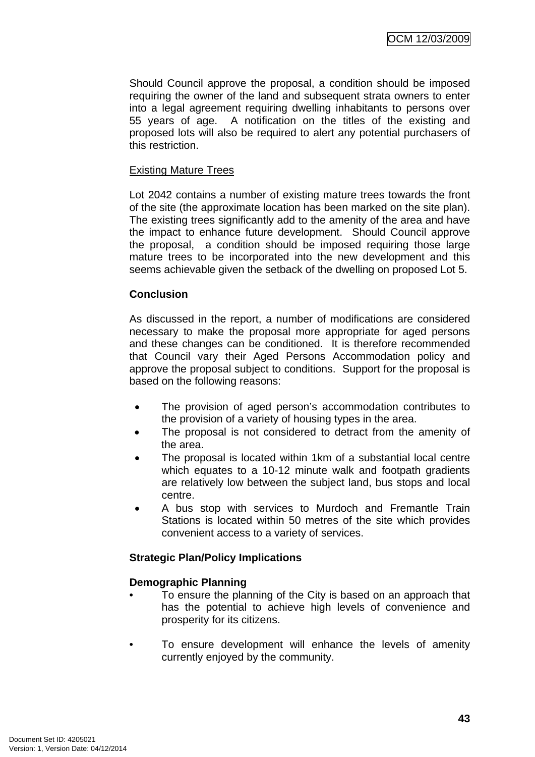Should Council approve the proposal, a condition should be imposed requiring the owner of the land and subsequent strata owners to enter into a legal agreement requiring dwelling inhabitants to persons over 55 years of age. A notification on the titles of the existing and proposed lots will also be required to alert any potential purchasers of this restriction.

# Existing Mature Trees

Lot 2042 contains a number of existing mature trees towards the front of the site (the approximate location has been marked on the site plan). The existing trees significantly add to the amenity of the area and have the impact to enhance future development. Should Council approve the proposal, a condition should be imposed requiring those large mature trees to be incorporated into the new development and this seems achievable given the setback of the dwelling on proposed Lot 5.

# **Conclusion**

As discussed in the report, a number of modifications are considered necessary to make the proposal more appropriate for aged persons and these changes can be conditioned. It is therefore recommended that Council vary their Aged Persons Accommodation policy and approve the proposal subject to conditions. Support for the proposal is based on the following reasons:

- The provision of aged person's accommodation contributes to the provision of a variety of housing types in the area.
- The proposal is not considered to detract from the amenity of the area.
- The proposal is located within 1km of a substantial local centre which equates to a 10-12 minute walk and footpath gradients are relatively low between the subject land, bus stops and local centre.
- A bus stop with services to Murdoch and Fremantle Train Stations is located within 50 metres of the site which provides convenient access to a variety of services.

# **Strategic Plan/Policy Implications**

# **Demographic Planning**

- To ensure the planning of the City is based on an approach that has the potential to achieve high levels of convenience and prosperity for its citizens.
- To ensure development will enhance the levels of amenity currently enjoyed by the community.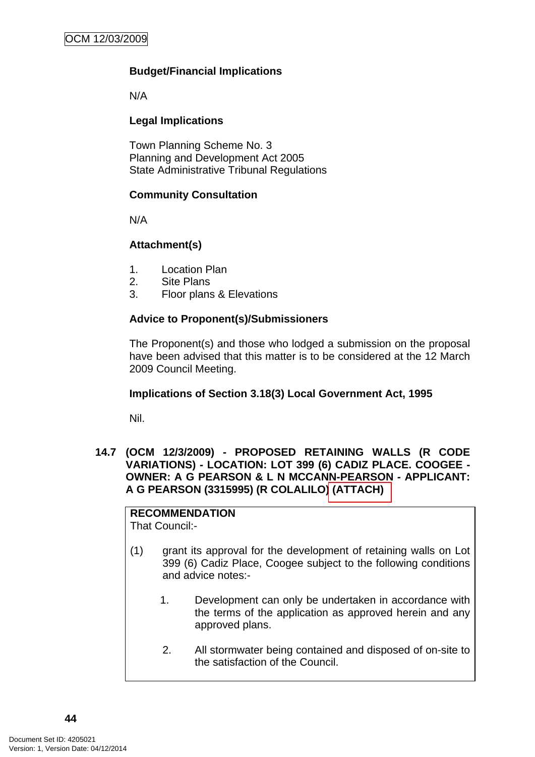# **Budget/Financial Implications**

N/A

# **Legal Implications**

Town Planning Scheme No. 3 Planning and Development Act 2005 State Administrative Tribunal Regulations

# **Community Consultation**

N/A

# **Attachment(s)**

- 1. Location Plan
- 2. Site Plans
- 3. Floor plans & Elevations

# **Advice to Proponent(s)/Submissioners**

The Proponent(s) and those who lodged a submission on the proposal have been advised that this matter is to be considered at the 12 March 2009 Council Meeting.

# **Implications of Section 3.18(3) Local Government Act, 1995**

Nil.

# **14.7 (OCM 12/3/2009) - PROPOSED RETAINING WALLS (R CODE VARIATIONS) - LOCATION: LOT 399 (6) CADIZ PLACE. COOGEE - OWNER: A G PEARSON & L N MCCANN-PEARSON - APPLICANT: A G PEARSON (3315995) (R COLALILO) (ATTACH)**

# **RECOMMENDATION**

That Council:-

- (1) grant its approval for the development of retaining walls on Lot 399 (6) Cadiz Place, Coogee subject to the following conditions and advice notes:-
	- 1. Development can only be undertaken in accordance with the terms of the application as approved herein and any approved plans.
	- 2. All stormwater being contained and disposed of on-site to the satisfaction of the Council.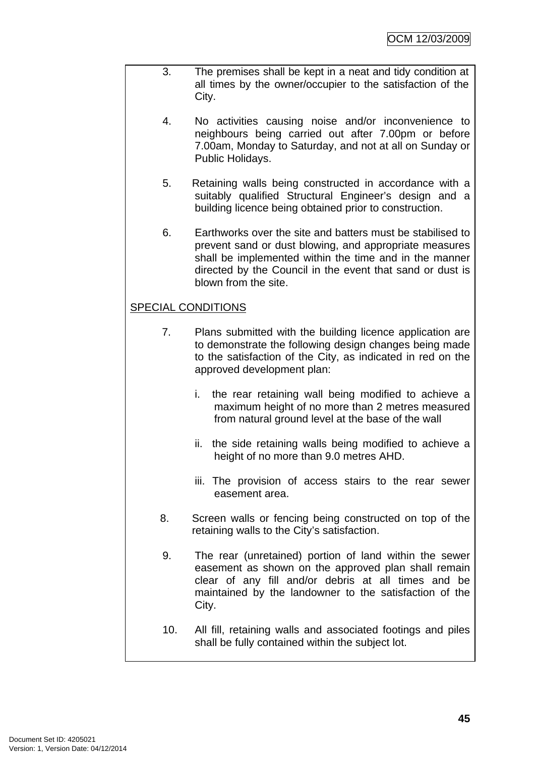- 3. The premises shall be kept in a neat and tidy condition at all times by the owner/occupier to the satisfaction of the City.
	- 4. No activities causing noise and/or inconvenience to neighbours being carried out after 7.00pm or before 7.00am, Monday to Saturday, and not at all on Sunday or Public Holidays.
	- 5. Retaining walls being constructed in accordance with a suitably qualified Structural Engineer's design and a building licence being obtained prior to construction.
	- 6. Earthworks over the site and batters must be stabilised to prevent sand or dust blowing, and appropriate measures shall be implemented within the time and in the manner directed by the Council in the event that sand or dust is blown from the site.

# SPECIAL CONDITIONS

- 7. Plans submitted with the building licence application are to demonstrate the following design changes being made to the satisfaction of the City, as indicated in red on the approved development plan:
	- i. the rear retaining wall being modified to achieve a maximum height of no more than 2 metres measured from natural ground level at the base of the wall
	- ii. the side retaining walls being modified to achieve a height of no more than 9.0 metres AHD.
	- iii. The provision of access stairs to the rear sewer easement area.
- 8. Screen walls or fencing being constructed on top of the retaining walls to the City's satisfaction.
- 9. The rear (unretained) portion of land within the sewer easement as shown on the approved plan shall remain clear of any fill and/or debris at all times and be maintained by the landowner to the satisfaction of the City.
- 10. All fill, retaining walls and associated footings and piles shall be fully contained within the subject lot.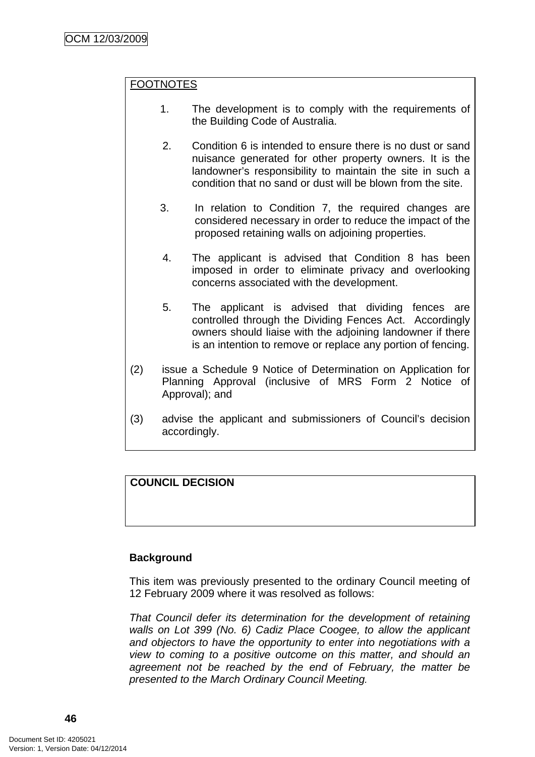# FOOTNOTES

- 1. The development is to comply with the requirements of the Building Code of Australia.
- 2. Condition 6 is intended to ensure there is no dust or sand nuisance generated for other property owners. It is the landowner's responsibility to maintain the site in such a condition that no sand or dust will be blown from the site.
- 3. In relation to Condition 7, the required changes are considered necessary in order to reduce the impact of the proposed retaining walls on adjoining properties.
- 4. The applicant is advised that Condition 8 has been imposed in order to eliminate privacy and overlooking concerns associated with the development.
- 5. The applicant is advised that dividing fences are controlled through the Dividing Fences Act. Accordingly owners should liaise with the adjoining landowner if there is an intention to remove or replace any portion of fencing.
- (2) issue a Schedule 9 Notice of Determination on Application for Planning Approval (inclusive of MRS Form 2 Notice of Approval); and
- (3) advise the applicant and submissioners of Council's decision accordingly.

# **COUNCIL DECISION**

# **Background**

This item was previously presented to the ordinary Council meeting of 12 February 2009 where it was resolved as follows:

*That Council defer its determination for the development of retaining walls on Lot 399 (No. 6) Cadiz Place Coogee, to allow the applicant and objectors to have the opportunity to enter into negotiations with a view to coming to a positive outcome on this matter, and should an agreement not be reached by the end of February, the matter be presented to the March Ordinary Council Meeting.*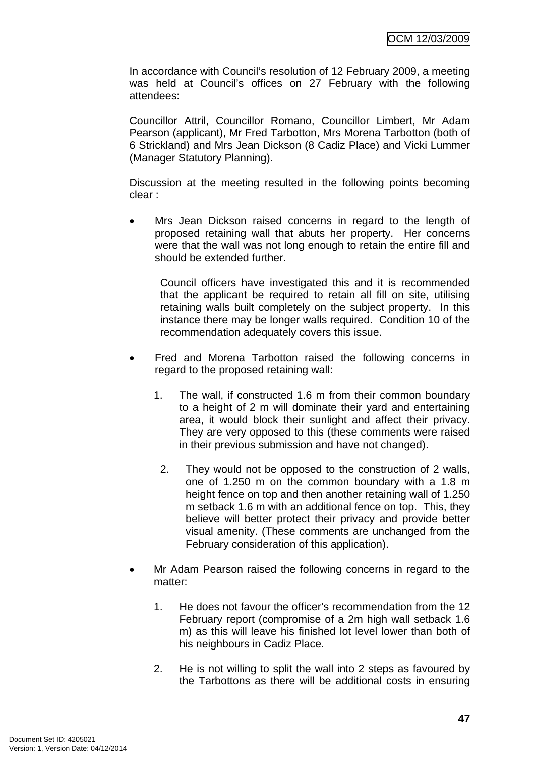In accordance with Council's resolution of 12 February 2009, a meeting was held at Council's offices on 27 February with the following attendees:

Councillor Attril, Councillor Romano, Councillor Limbert, Mr Adam Pearson (applicant), Mr Fred Tarbotton, Mrs Morena Tarbotton (both of 6 Strickland) and Mrs Jean Dickson (8 Cadiz Place) and Vicki Lummer (Manager Statutory Planning).

Discussion at the meeting resulted in the following points becoming clear :

Mrs Jean Dickson raised concerns in regard to the length of proposed retaining wall that abuts her property. Her concerns were that the wall was not long enough to retain the entire fill and should be extended further.

Council officers have investigated this and it is recommended that the applicant be required to retain all fill on site, utilising retaining walls built completely on the subject property. In this instance there may be longer walls required. Condition 10 of the recommendation adequately covers this issue.

- Fred and Morena Tarbotton raised the following concerns in regard to the proposed retaining wall:
	- 1. The wall, if constructed 1.6 m from their common boundary to a height of 2 m will dominate their yard and entertaining area, it would block their sunlight and affect their privacy. They are very opposed to this (these comments were raised in their previous submission and have not changed).
	- 2. They would not be opposed to the construction of 2 walls, one of 1.250 m on the common boundary with a 1.8 m height fence on top and then another retaining wall of 1.250 m setback 1.6 m with an additional fence on top. This, they believe will better protect their privacy and provide better visual amenity. (These comments are unchanged from the February consideration of this application).
- Mr Adam Pearson raised the following concerns in regard to the matter:
	- 1. He does not favour the officer's recommendation from the 12 February report (compromise of a 2m high wall setback 1.6 m) as this will leave his finished lot level lower than both of his neighbours in Cadiz Place.
	- 2. He is not willing to split the wall into 2 steps as favoured by the Tarbottons as there will be additional costs in ensuring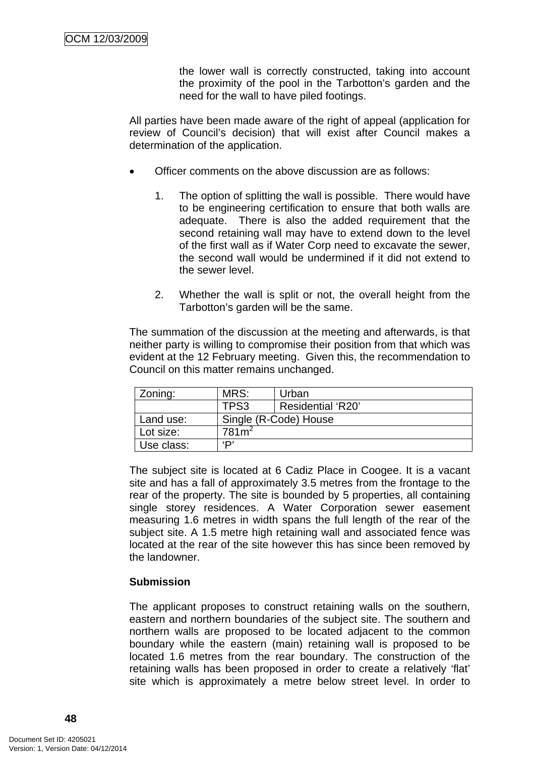the lower wall is correctly constructed, taking into account the proximity of the pool in the Tarbotton's garden and the need for the wall to have piled footings.

All parties have been made aware of the right of appeal (application for review of Council's decision) that will exist after Council makes a determination of the application.

- Officer comments on the above discussion are as follows:
	- 1. The option of splitting the wall is possible. There would have to be engineering certification to ensure that both walls are adequate. There is also the added requirement that the second retaining wall may have to extend down to the level of the first wall as if Water Corp need to excavate the sewer, the second wall would be undermined if it did not extend to the sewer level.
	- 2. Whether the wall is split or not, the overall height from the Tarbotton's garden will be the same.

The summation of the discussion at the meeting and afterwards, is that neither party is willing to compromise their position from that which was evident at the 12 February meeting. Given this, the recommendation to Council on this matter remains unchanged.

| Zoning:    | MRS:                  | Urban             |  |  |
|------------|-----------------------|-------------------|--|--|
|            | TPS3                  | Residential 'R20' |  |  |
| Land use:  | Single (R-Code) House |                   |  |  |
| Lot size:  | 781 <sup>2</sup>      |                   |  |  |
| Use class: | יםי                   |                   |  |  |

The subject site is located at 6 Cadiz Place in Coogee. It is a vacant site and has a fall of approximately 3.5 metres from the frontage to the rear of the property. The site is bounded by 5 properties, all containing single storey residences. A Water Corporation sewer easement measuring 1.6 metres in width spans the full length of the rear of the subject site. A 1.5 metre high retaining wall and associated fence was located at the rear of the site however this has since been removed by the landowner.

# **Submission**

The applicant proposes to construct retaining walls on the southern, eastern and northern boundaries of the subject site. The southern and northern walls are proposed to be located adjacent to the common boundary while the eastern (main) retaining wall is proposed to be located 1.6 metres from the rear boundary. The construction of the retaining walls has been proposed in order to create a relatively 'flat' site which is approximately a metre below street level. In order to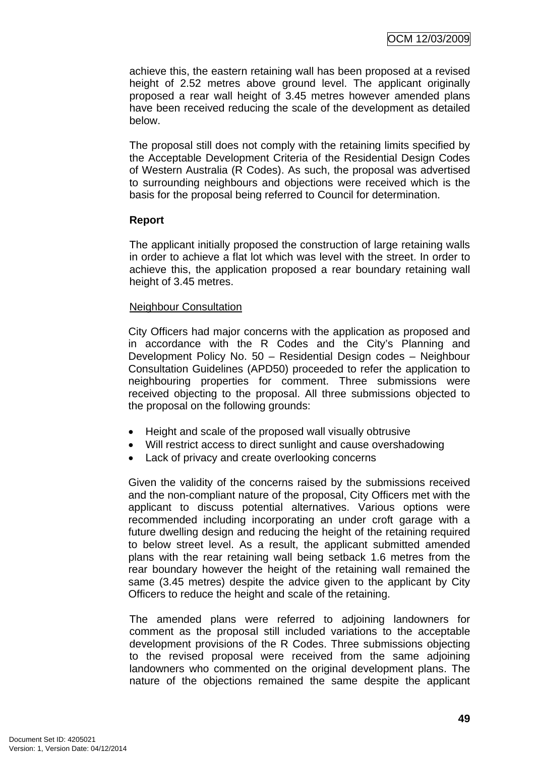achieve this, the eastern retaining wall has been proposed at a revised height of 2.52 metres above ground level. The applicant originally proposed a rear wall height of 3.45 metres however amended plans have been received reducing the scale of the development as detailed below.

The proposal still does not comply with the retaining limits specified by the Acceptable Development Criteria of the Residential Design Codes of Western Australia (R Codes). As such, the proposal was advertised to surrounding neighbours and objections were received which is the basis for the proposal being referred to Council for determination.

# **Report**

The applicant initially proposed the construction of large retaining walls in order to achieve a flat lot which was level with the street. In order to achieve this, the application proposed a rear boundary retaining wall height of 3.45 metres.

# Neighbour Consultation

City Officers had major concerns with the application as proposed and in accordance with the R Codes and the City's Planning and Development Policy No. 50 – Residential Design codes – Neighbour Consultation Guidelines (APD50) proceeded to refer the application to neighbouring properties for comment. Three submissions were received objecting to the proposal. All three submissions objected to the proposal on the following grounds:

- Height and scale of the proposed wall visually obtrusive
- Will restrict access to direct sunlight and cause overshadowing
- Lack of privacy and create overlooking concerns

Given the validity of the concerns raised by the submissions received and the non-compliant nature of the proposal, City Officers met with the applicant to discuss potential alternatives. Various options were recommended including incorporating an under croft garage with a future dwelling design and reducing the height of the retaining required to below street level. As a result, the applicant submitted amended plans with the rear retaining wall being setback 1.6 metres from the rear boundary however the height of the retaining wall remained the same (3.45 metres) despite the advice given to the applicant by City Officers to reduce the height and scale of the retaining.

The amended plans were referred to adjoining landowners for comment as the proposal still included variations to the acceptable development provisions of the R Codes. Three submissions objecting to the revised proposal were received from the same adjoining landowners who commented on the original development plans. The nature of the objections remained the same despite the applicant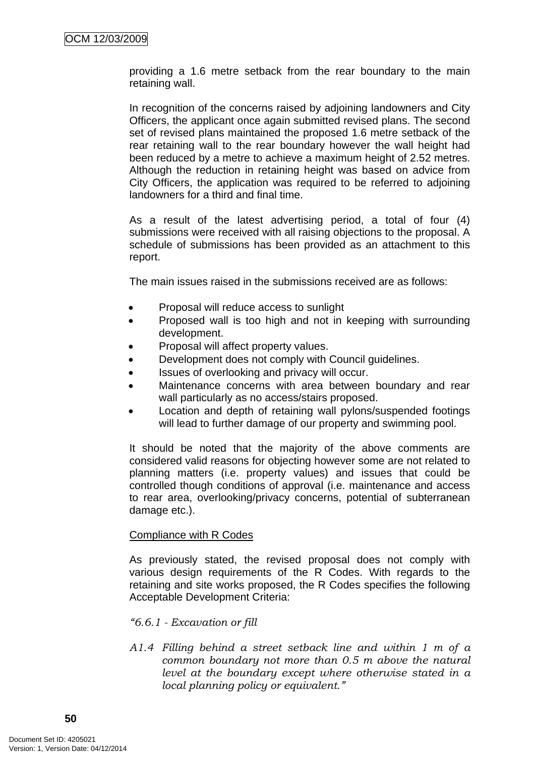providing a 1.6 metre setback from the rear boundary to the main retaining wall.

In recognition of the concerns raised by adjoining landowners and City Officers, the applicant once again submitted revised plans. The second set of revised plans maintained the proposed 1.6 metre setback of the rear retaining wall to the rear boundary however the wall height had been reduced by a metre to achieve a maximum height of 2.52 metres. Although the reduction in retaining height was based on advice from City Officers, the application was required to be referred to adjoining landowners for a third and final time.

As a result of the latest advertising period, a total of four (4) submissions were received with all raising objections to the proposal. A schedule of submissions has been provided as an attachment to this report.

The main issues raised in the submissions received are as follows:

- Proposal will reduce access to sunlight
- Proposed wall is too high and not in keeping with surrounding development.
- Proposal will affect property values.
- Development does not comply with Council guidelines.
- Issues of overlooking and privacy will occur.
- Maintenance concerns with area between boundary and rear wall particularly as no access/stairs proposed.
- Location and depth of retaining wall pylons/suspended footings will lead to further damage of our property and swimming pool.

It should be noted that the majority of the above comments are considered valid reasons for objecting however some are not related to planning matters (i.e. property values) and issues that could be controlled though conditions of approval (i.e. maintenance and access to rear area, overlooking/privacy concerns, potential of subterranean damage etc.).

# Compliance with R Codes

As previously stated, the revised proposal does not comply with various design requirements of the R Codes. With regards to the retaining and site works proposed, the R Codes specifies the following Acceptable Development Criteria:

# *"6.6.1 - Excavation or fill*

*A1.4 Filling behind a street setback line and within 1 m of a common boundary not more than 0.5 m above the natural level at the boundary except where otherwise stated in a local planning policy or equivalent."*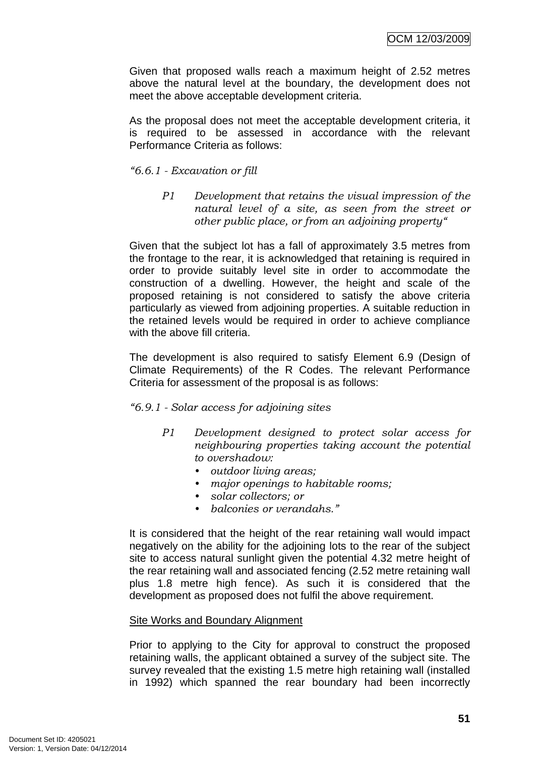Given that proposed walls reach a maximum height of 2.52 metres above the natural level at the boundary, the development does not meet the above acceptable development criteria.

As the proposal does not meet the acceptable development criteria, it is required to be assessed in accordance with the relevant Performance Criteria as follows:

# *"6.6.1 - Excavation or fill*

*P1 Development that retains the visual impression of the natural level of a site, as seen from the street or other public place, or from an adjoining property"* 

Given that the subject lot has a fall of approximately 3.5 metres from the frontage to the rear, it is acknowledged that retaining is required in order to provide suitably level site in order to accommodate the construction of a dwelling. However, the height and scale of the proposed retaining is not considered to satisfy the above criteria particularly as viewed from adjoining properties. A suitable reduction in the retained levels would be required in order to achieve compliance with the above fill criteria.

The development is also required to satisfy Element 6.9 (Design of Climate Requirements) of the R Codes. The relevant Performance Criteria for assessment of the proposal is as follows:

# *"6.9.1 - Solar access for adjoining sites*

- *P1 Development designed to protect solar access for neighbouring properties taking account the potential to overshadow:* 
	- *outdoor living areas;*
	- *major openings to habitable rooms;*
	- *solar collectors; or*
	- *balconies or verandahs."*

It is considered that the height of the rear retaining wall would impact negatively on the ability for the adjoining lots to the rear of the subject site to access natural sunlight given the potential 4.32 metre height of the rear retaining wall and associated fencing (2.52 metre retaining wall plus 1.8 metre high fence). As such it is considered that the development as proposed does not fulfil the above requirement.

# Site Works and Boundary Alignment

Prior to applying to the City for approval to construct the proposed retaining walls, the applicant obtained a survey of the subject site. The survey revealed that the existing 1.5 metre high retaining wall (installed in 1992) which spanned the rear boundary had been incorrectly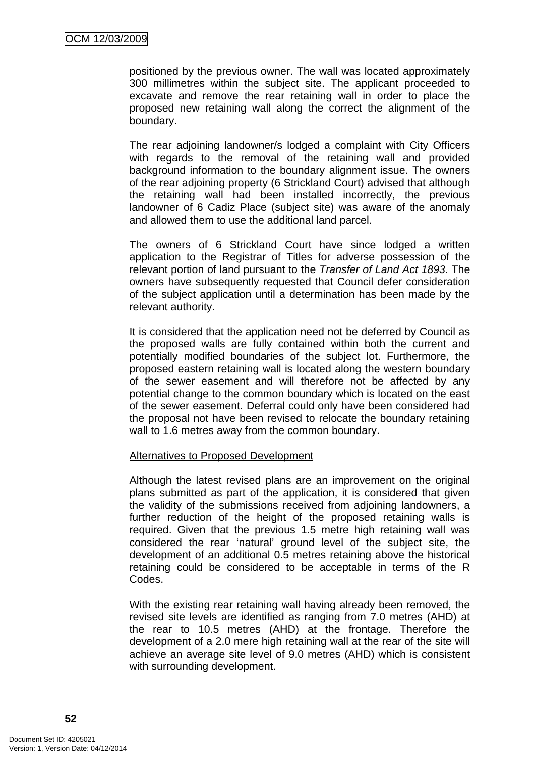positioned by the previous owner. The wall was located approximately 300 millimetres within the subject site. The applicant proceeded to excavate and remove the rear retaining wall in order to place the proposed new retaining wall along the correct the alignment of the boundary.

The rear adjoining landowner/s lodged a complaint with City Officers with regards to the removal of the retaining wall and provided background information to the boundary alignment issue. The owners of the rear adjoining property (6 Strickland Court) advised that although the retaining wall had been installed incorrectly, the previous landowner of 6 Cadiz Place (subject site) was aware of the anomaly and allowed them to use the additional land parcel.

The owners of 6 Strickland Court have since lodged a written application to the Registrar of Titles for adverse possession of the relevant portion of land pursuant to the *Transfer of Land Act 1893.* The owners have subsequently requested that Council defer consideration of the subject application until a determination has been made by the relevant authority.

It is considered that the application need not be deferred by Council as the proposed walls are fully contained within both the current and potentially modified boundaries of the subject lot. Furthermore, the proposed eastern retaining wall is located along the western boundary of the sewer easement and will therefore not be affected by any potential change to the common boundary which is located on the east of the sewer easement. Deferral could only have been considered had the proposal not have been revised to relocate the boundary retaining wall to 1.6 metres away from the common boundary.

# Alternatives to Proposed Development

Although the latest revised plans are an improvement on the original plans submitted as part of the application, it is considered that given the validity of the submissions received from adjoining landowners, a further reduction of the height of the proposed retaining walls is required. Given that the previous 1.5 metre high retaining wall was considered the rear 'natural' ground level of the subject site, the development of an additional 0.5 metres retaining above the historical retaining could be considered to be acceptable in terms of the R Codes.

With the existing rear retaining wall having already been removed, the revised site levels are identified as ranging from 7.0 metres (AHD) at the rear to 10.5 metres (AHD) at the frontage. Therefore the development of a 2.0 mere high retaining wall at the rear of the site will achieve an average site level of 9.0 metres (AHD) which is consistent with surrounding development.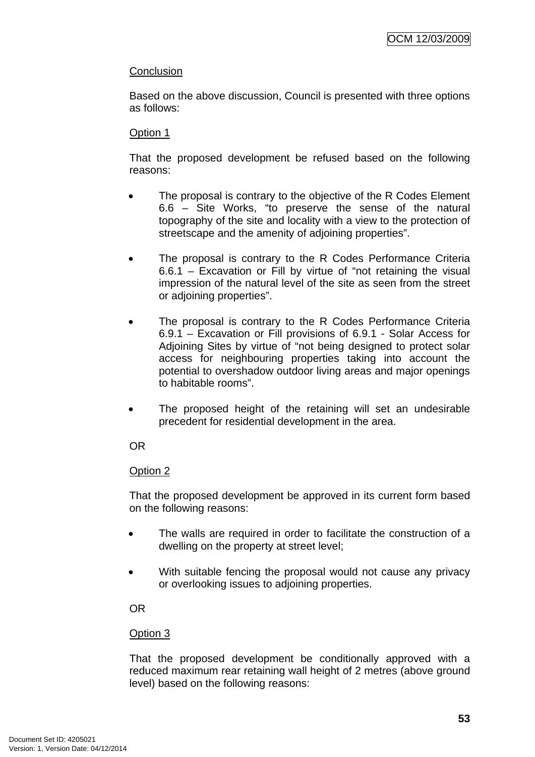# **Conclusion**

Based on the above discussion, Council is presented with three options as follows:

# Option 1

That the proposed development be refused based on the following reasons:

- The proposal is contrary to the objective of the R Codes Element 6.6 – Site Works, "to preserve the sense of the natural topography of the site and locality with a view to the protection of streetscape and the amenity of adjoining properties".
- The proposal is contrary to the R Codes Performance Criteria 6.6.1 – Excavation or Fill by virtue of "not retaining the visual impression of the natural level of the site as seen from the street or adjoining properties".
- The proposal is contrary to the R Codes Performance Criteria 6.9.1 – Excavation or Fill provisions of 6.9.1 - Solar Access for Adjoining Sites by virtue of "not being designed to protect solar access for neighbouring properties taking into account the potential to overshadow outdoor living areas and major openings to habitable rooms".
- The proposed height of the retaining will set an undesirable precedent for residential development in the area.

# OR

# Option 2

That the proposed development be approved in its current form based on the following reasons:

- The walls are required in order to facilitate the construction of a dwelling on the property at street level;
- With suitable fencing the proposal would not cause any privacy or overlooking issues to adjoining properties.

# OR

# Option 3

That the proposed development be conditionally approved with a reduced maximum rear retaining wall height of 2 metres (above ground level) based on the following reasons: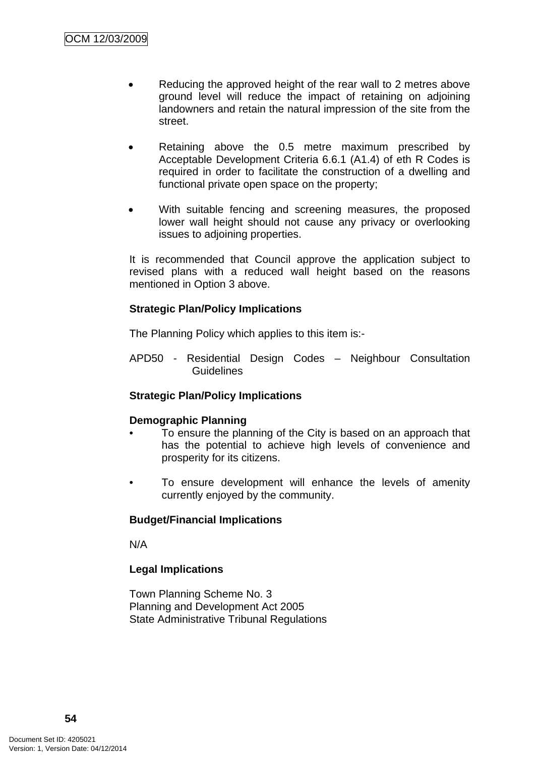- Reducing the approved height of the rear wall to 2 metres above ground level will reduce the impact of retaining on adjoining landowners and retain the natural impression of the site from the street.
- Retaining above the 0.5 metre maximum prescribed by Acceptable Development Criteria 6.6.1 (A1.4) of eth R Codes is required in order to facilitate the construction of a dwelling and functional private open space on the property;
- With suitable fencing and screening measures, the proposed lower wall height should not cause any privacy or overlooking issues to adjoining properties.

It is recommended that Council approve the application subject to revised plans with a reduced wall height based on the reasons mentioned in Option 3 above.

# **Strategic Plan/Policy Implications**

The Planning Policy which applies to this item is:-

APD50 - Residential Design Codes – Neighbour Consultation **Guidelines** 

# **Strategic Plan/Policy Implications**

# **Demographic Planning**

- To ensure the planning of the City is based on an approach that has the potential to achieve high levels of convenience and prosperity for its citizens.
- To ensure development will enhance the levels of amenity currently enjoyed by the community.

# **Budget/Financial Implications**

N/A

# **Legal Implications**

Town Planning Scheme No. 3 Planning and Development Act 2005 State Administrative Tribunal Regulations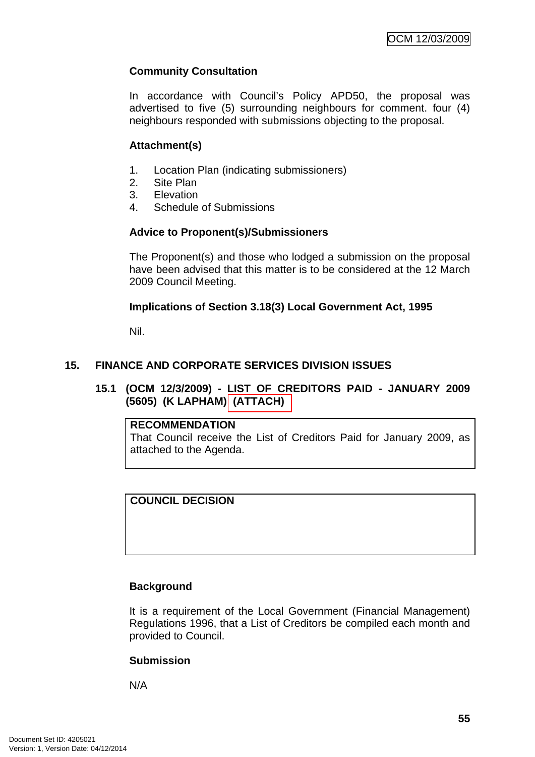# **Community Consultation**

In accordance with Council's Policy APD50, the proposal was advertised to five (5) surrounding neighbours for comment. four (4) neighbours responded with submissions objecting to the proposal.

# **Attachment(s)**

- 1. Location Plan (indicating submissioners)
- 2. Site Plan
- 3. Elevation
- 4. Schedule of Submissions

# **Advice to Proponent(s)/Submissioners**

The Proponent(s) and those who lodged a submission on the proposal have been advised that this matter is to be considered at the 12 March 2009 Council Meeting.

# **Implications of Section 3.18(3) Local Government Act, 1995**

Nil.

# **15. FINANCE AND CORPORATE SERVICES DIVISION ISSUES**

**15.1 (OCM 12/3/2009) - LIST OF CREDITORS PAID - JANUARY 2009 (5605) (K LAPHAM) (ATTACH)** 

# **RECOMMENDATION**

That Council receive the List of Creditors Paid for January 2009, as attached to the Agenda.

# **COUNCIL DECISION**

# **Background**

It is a requirement of the Local Government (Financial Management) Regulations 1996, that a List of Creditors be compiled each month and provided to Council.

# **Submission**

N/A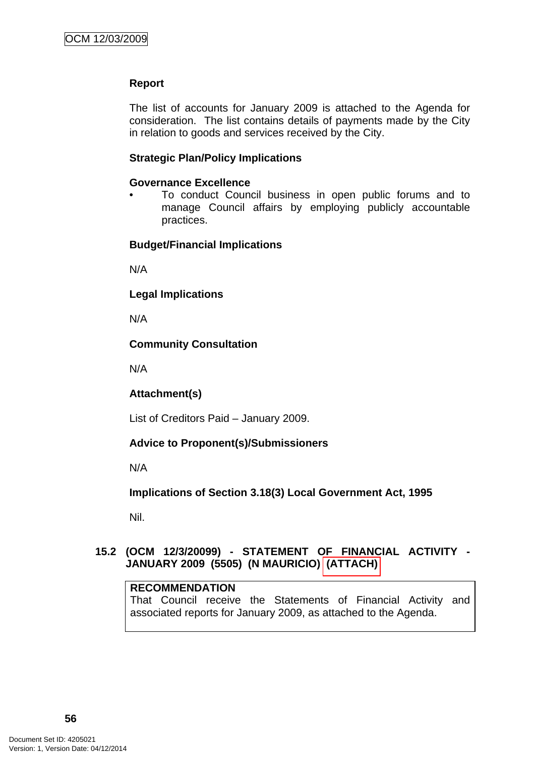# **Report**

The list of accounts for January 2009 is attached to the Agenda for consideration. The list contains details of payments made by the City in relation to goods and services received by the City.

#### **Strategic Plan/Policy Implications**

#### **Governance Excellence**

• To conduct Council business in open public forums and to manage Council affairs by employing publicly accountable practices.

#### **Budget/Financial Implications**

N/A

#### **Legal Implications**

N/A

# **Community Consultation**

N/A

# **Attachment(s)**

List of Creditors Paid – January 2009.

# **Advice to Proponent(s)/Submissioners**

N/A

# **Implications of Section 3.18(3) Local Government Act, 1995**

Nil.

# **15.2 (OCM 12/3/20099) - STATEMENT OF FINANCIAL ACTIVITY - JANUARY 2009 (5505) (N MAURICIO) (ATTACH)**

#### **RECOMMENDATION**

That Council receive the Statements of Financial Activity and associated reports for January 2009, as attached to the Agenda.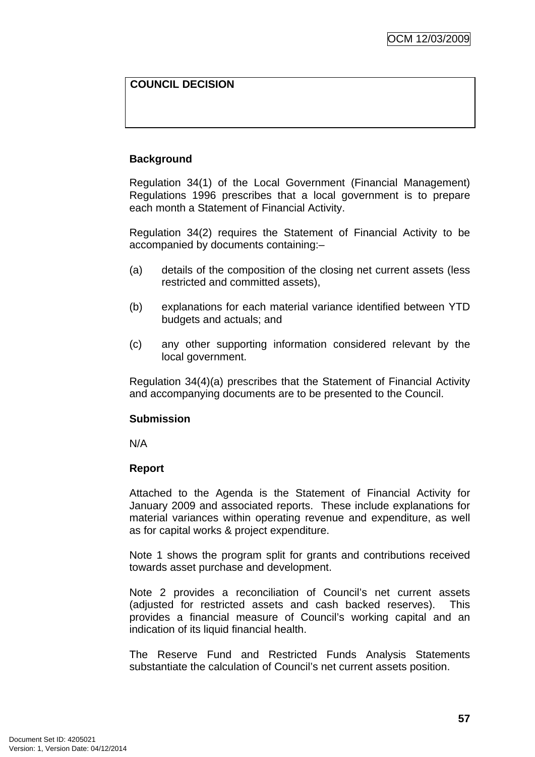# **COUNCIL DECISION**

# **Background**

Regulation 34(1) of the Local Government (Financial Management) Regulations 1996 prescribes that a local government is to prepare each month a Statement of Financial Activity.

Regulation 34(2) requires the Statement of Financial Activity to be accompanied by documents containing:–

- (a) details of the composition of the closing net current assets (less restricted and committed assets),
- (b) explanations for each material variance identified between YTD budgets and actuals; and
- (c) any other supporting information considered relevant by the local government.

Regulation 34(4)(a) prescribes that the Statement of Financial Activity and accompanying documents are to be presented to the Council.

# **Submission**

N/A

# **Report**

Attached to the Agenda is the Statement of Financial Activity for January 2009 and associated reports. These include explanations for material variances within operating revenue and expenditure, as well as for capital works & project expenditure.

Note 1 shows the program split for grants and contributions received towards asset purchase and development.

Note 2 provides a reconciliation of Council's net current assets (adjusted for restricted assets and cash backed reserves). This provides a financial measure of Council's working capital and an indication of its liquid financial health.

The Reserve Fund and Restricted Funds Analysis Statements substantiate the calculation of Council's net current assets position.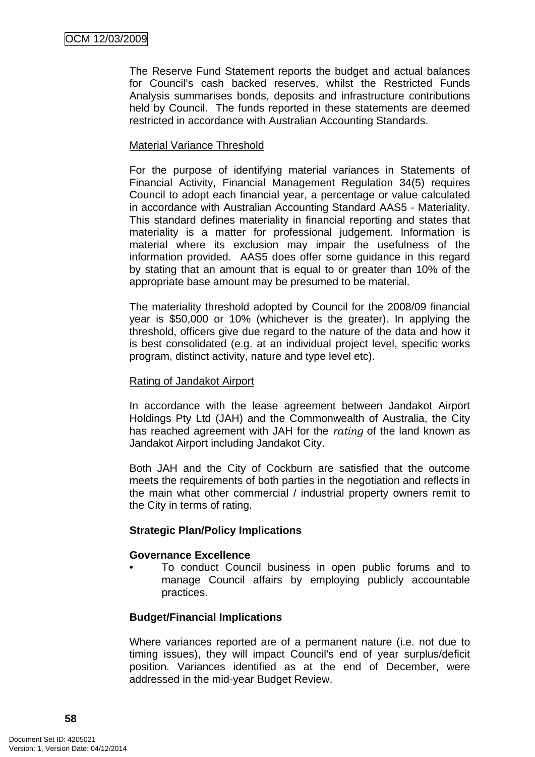The Reserve Fund Statement reports the budget and actual balances for Council's cash backed reserves, whilst the Restricted Funds Analysis summarises bonds, deposits and infrastructure contributions held by Council. The funds reported in these statements are deemed restricted in accordance with Australian Accounting Standards.

# Material Variance Threshold

For the purpose of identifying material variances in Statements of Financial Activity, Financial Management Regulation 34(5) requires Council to adopt each financial year, a percentage or value calculated in accordance with Australian Accounting Standard AAS5 - Materiality. This standard defines materiality in financial reporting and states that materiality is a matter for professional judgement. Information is material where its exclusion may impair the usefulness of the information provided. AAS5 does offer some guidance in this regard by stating that an amount that is equal to or greater than 10% of the appropriate base amount may be presumed to be material.

The materiality threshold adopted by Council for the 2008/09 financial year is \$50,000 or 10% (whichever is the greater). In applying the threshold, officers give due regard to the nature of the data and how it is best consolidated (e.g. at an individual project level, specific works program, distinct activity, nature and type level etc).

# Rating of Jandakot Airport

In accordance with the lease agreement between Jandakot Airport Holdings Pty Ltd (JAH) and the Commonwealth of Australia, the City has reached agreement with JAH for the *rating* of the land known as Jandakot Airport including Jandakot City.

Both JAH and the City of Cockburn are satisfied that the outcome meets the requirements of both parties in the negotiation and reflects in the main what other commercial / industrial property owners remit to the City in terms of rating.

# **Strategic Plan/Policy Implications**

#### **Governance Excellence**

• To conduct Council business in open public forums and to manage Council affairs by employing publicly accountable practices.

# **Budget/Financial Implications**

Where variances reported are of a permanent nature (i.e. not due to timing issues), they will impact Council's end of year surplus/deficit position. Variances identified as at the end of December, were addressed in the mid-year Budget Review.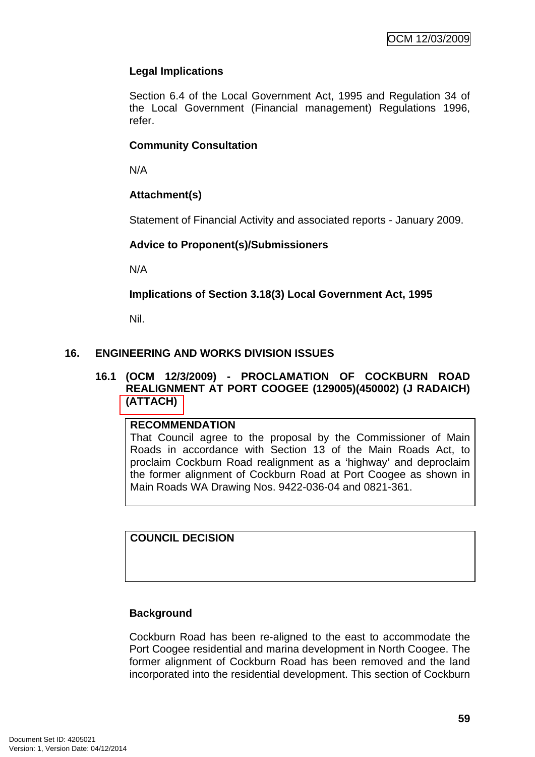# **Legal Implications**

Section 6.4 of the Local Government Act, 1995 and Regulation 34 of the Local Government (Financial management) Regulations 1996, refer.

# **Community Consultation**

N/A

# **Attachment(s)**

Statement of Financial Activity and associated reports - January 2009.

# **Advice to Proponent(s)/Submissioners**

N/A

**Implications of Section 3.18(3) Local Government Act, 1995**

Nil.

# **16. ENGINEERING AND WORKS DIVISION ISSUES**

# **16.1 (OCM 12/3/2009) - PROCLAMATION OF COCKBURN ROAD REALIGNMENT AT PORT COOGEE (129005)(450002) (J RADAICH) (ATTACH)**

# **RECOMMENDATION**

That Council agree to the proposal by the Commissioner of Main Roads in accordance with Section 13 of the Main Roads Act, to proclaim Cockburn Road realignment as a 'highway' and deproclaim the former alignment of Cockburn Road at Port Coogee as shown in Main Roads WA Drawing Nos. 9422-036-04 and 0821-361.

**COUNCIL DECISION** 

# **Background**

Cockburn Road has been re-aligned to the east to accommodate the Port Coogee residential and marina development in North Coogee. The former alignment of Cockburn Road has been removed and the land incorporated into the residential development. This section of Cockburn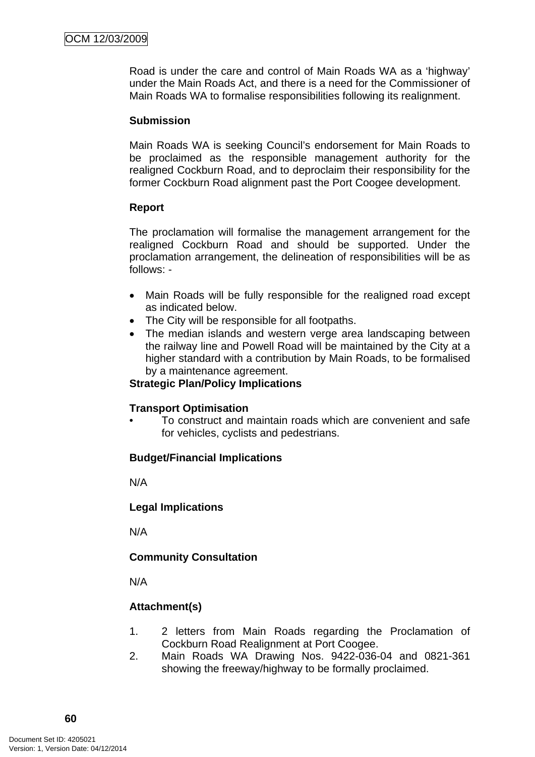Road is under the care and control of Main Roads WA as a 'highway' under the Main Roads Act, and there is a need for the Commissioner of Main Roads WA to formalise responsibilities following its realignment.

#### **Submission**

Main Roads WA is seeking Council's endorsement for Main Roads to be proclaimed as the responsible management authority for the realigned Cockburn Road, and to deproclaim their responsibility for the former Cockburn Road alignment past the Port Coogee development.

#### **Report**

The proclamation will formalise the management arrangement for the realigned Cockburn Road and should be supported. Under the proclamation arrangement, the delineation of responsibilities will be as follows: -

- Main Roads will be fully responsible for the realigned road except as indicated below.
- The City will be responsible for all footpaths.
- The median islands and western verge area landscaping between the railway line and Powell Road will be maintained by the City at a higher standard with a contribution by Main Roads, to be formalised by a maintenance agreement.

#### **Strategic Plan/Policy Implications**

# **Transport Optimisation**

• To construct and maintain roads which are convenient and safe for vehicles, cyclists and pedestrians.

# **Budget/Financial Implications**

N/A

# **Legal Implications**

N/A

# **Community Consultation**

N/A

# **Attachment(s)**

- 1. 2 letters from Main Roads regarding the Proclamation of Cockburn Road Realignment at Port Coogee.
- 2. Main Roads WA Drawing Nos. 9422-036-04 and 0821-361 showing the freeway/highway to be formally proclaimed.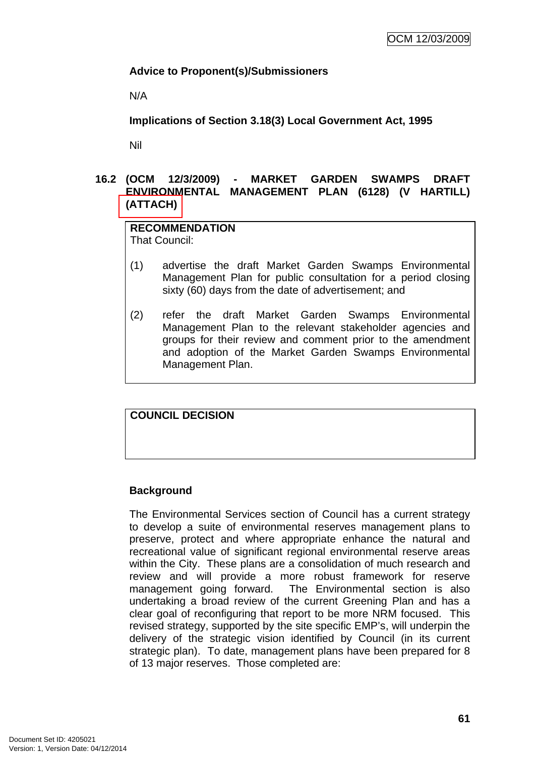# **Advice to Proponent(s)/Submissioners**

N/A

**Implications of Section 3.18(3) Local Government Act, 1995**

Nil

# **16.2 (OCM 12/3/2009) - MARKET GARDEN SWAMPS DRAFT ENVIRONMENTAL MANAGEMENT PLAN (6128) (V HARTILL) (ATTACH)**

# **RECOMMENDATION**

That Council:

- (1) advertise the draft Market Garden Swamps Environmental Management Plan for public consultation for a period closing sixty (60) days from the date of advertisement; and
- (2) refer the draft Market Garden Swamps Environmental Management Plan to the relevant stakeholder agencies and groups for their review and comment prior to the amendment and adoption of the Market Garden Swamps Environmental Management Plan.

# **COUNCIL DECISION**

# **Background**

The Environmental Services section of Council has a current strategy to develop a suite of environmental reserves management plans to preserve, protect and where appropriate enhance the natural and recreational value of significant regional environmental reserve areas within the City. These plans are a consolidation of much research and review and will provide a more robust framework for reserve management going forward. The Environmental section is also undertaking a broad review of the current Greening Plan and has a clear goal of reconfiguring that report to be more NRM focused. This revised strategy, supported by the site specific EMP's, will underpin the delivery of the strategic vision identified by Council (in its current strategic plan). To date, management plans have been prepared for 8 of 13 major reserves. Those completed are: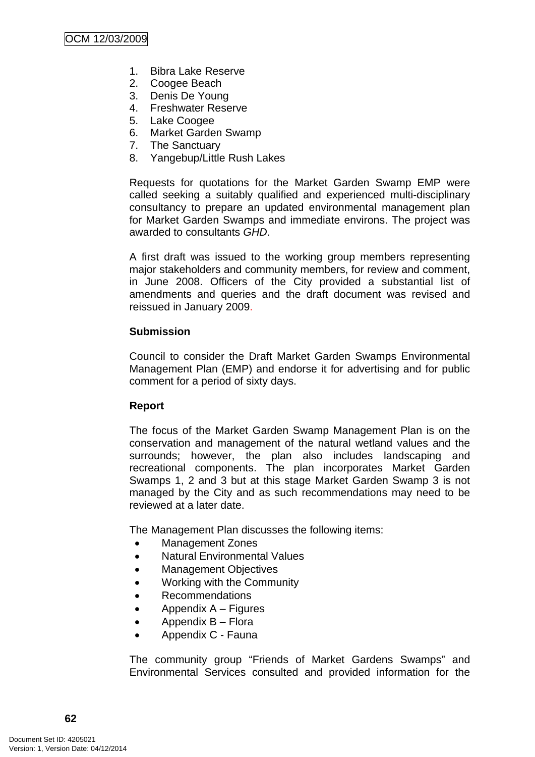- 1. Bibra Lake Reserve
- 2. Coogee Beach
- 3. Denis De Young
- 4. Freshwater Reserve
- 5. Lake Coogee
- 6. Market Garden Swamp
- 7. The Sanctuary
- 8. Yangebup/Little Rush Lakes

Requests for quotations for the Market Garden Swamp EMP were called seeking a suitably qualified and experienced multi-disciplinary consultancy to prepare an updated environmental management plan for Market Garden Swamps and immediate environs. The project was awarded to consultants *GHD*.

A first draft was issued to the working group members representing major stakeholders and community members, for review and comment, in June 2008. Officers of the City provided a substantial list of amendments and queries and the draft document was revised and reissued in January 2009.

# **Submission**

Council to consider the Draft Market Garden Swamps Environmental Management Plan (EMP) and endorse it for advertising and for public comment for a period of sixty days.

# **Report**

The focus of the Market Garden Swamp Management Plan is on the conservation and management of the natural wetland values and the surrounds; however, the plan also includes landscaping and recreational components. The plan incorporates Market Garden Swamps 1, 2 and 3 but at this stage Market Garden Swamp 3 is not managed by the City and as such recommendations may need to be reviewed at a later date.

The Management Plan discusses the following items:

- Management Zones
- Natural Environmental Values
- Management Objectives
- Working with the Community
- Recommendations
- Appendix  $A -$  Figures
- Appendix B Flora
- Appendix C Fauna

The community group "Friends of Market Gardens Swamps" and Environmental Services consulted and provided information for the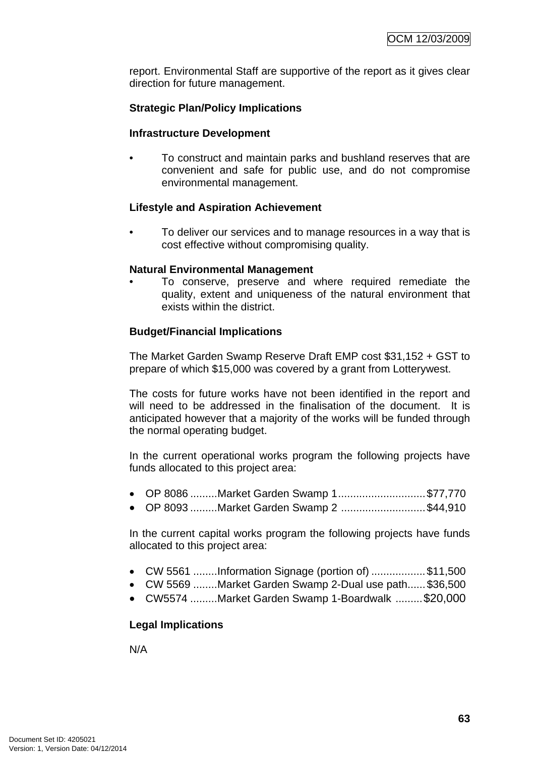report. Environmental Staff are supportive of the report as it gives clear direction for future management.

# **Strategic Plan/Policy Implications**

#### **Infrastructure Development**

• To construct and maintain parks and bushland reserves that are convenient and safe for public use, and do not compromise environmental management.

# **Lifestyle and Aspiration Achievement**

• To deliver our services and to manage resources in a way that is cost effective without compromising quality.

#### **Natural Environmental Management**

• To conserve, preserve and where required remediate the quality, extent and uniqueness of the natural environment that exists within the district.

# **Budget/Financial Implications**

The Market Garden Swamp Reserve Draft EMP cost \$31,152 + GST to prepare of which \$15,000 was covered by a grant from Lotterywest.

The costs for future works have not been identified in the report and will need to be addressed in the finalisation of the document. It is anticipated however that a majority of the works will be funded through the normal operating budget.

In the current operational works program the following projects have funds allocated to this project area:

- OP 8086 .........Market Garden Swamp 1............................\$77,770
- OP 8093 ........Market Garden Swamp 2 ...........................\$44,910

In the current capital works program the following projects have funds allocated to this project area:

- CW 5561 ........Information Signage (portion of) .................\$11,500
- CW 5569 ........Market Garden Swamp 2-Dual use path......\$36,500
- CW5574 .........Market Garden Swamp 1-Boardwalk .........\$20,000

# **Legal Implications**

N/A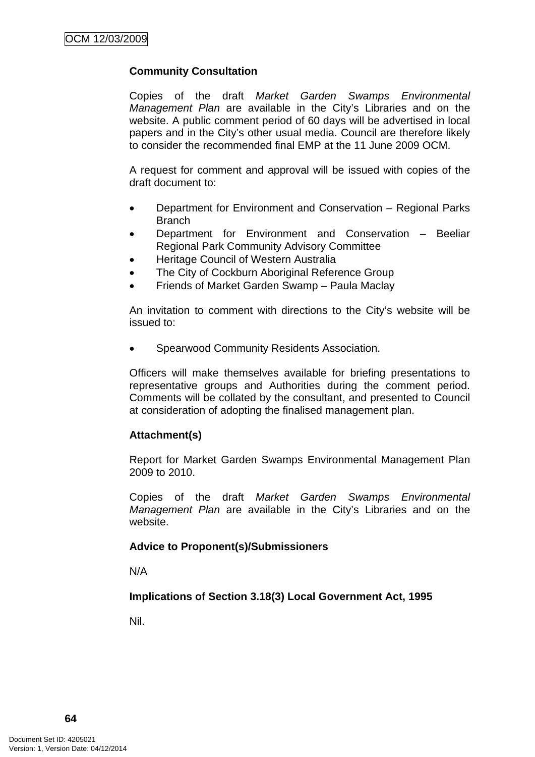# **Community Consultation**

Copies of the draft *Market Garden Swamps Environmental Management Plan* are available in the City's Libraries and on the website. A public comment period of 60 days will be advertised in local papers and in the City's other usual media. Council are therefore likely to consider the recommended final EMP at the 11 June 2009 OCM.

A request for comment and approval will be issued with copies of the draft document to:

- Department for Environment and Conservation Regional Parks **Branch**
- Department for Environment and Conservation Beeliar Regional Park Community Advisory Committee
- Heritage Council of Western Australia
- The City of Cockburn Aboriginal Reference Group
- Friends of Market Garden Swamp Paula Maclay

An invitation to comment with directions to the City's website will be issued to:

• Spearwood Community Residents Association.

Officers will make themselves available for briefing presentations to representative groups and Authorities during the comment period. Comments will be collated by the consultant, and presented to Council at consideration of adopting the finalised management plan.

# **Attachment(s)**

Report for Market Garden Swamps Environmental Management Plan 2009 to 2010.

Copies of the draft *Market Garden Swamps Environmental Management Plan* are available in the City's Libraries and on the website.

# **Advice to Proponent(s)/Submissioners**

N/A

# **Implications of Section 3.18(3) Local Government Act, 1995**

Nil.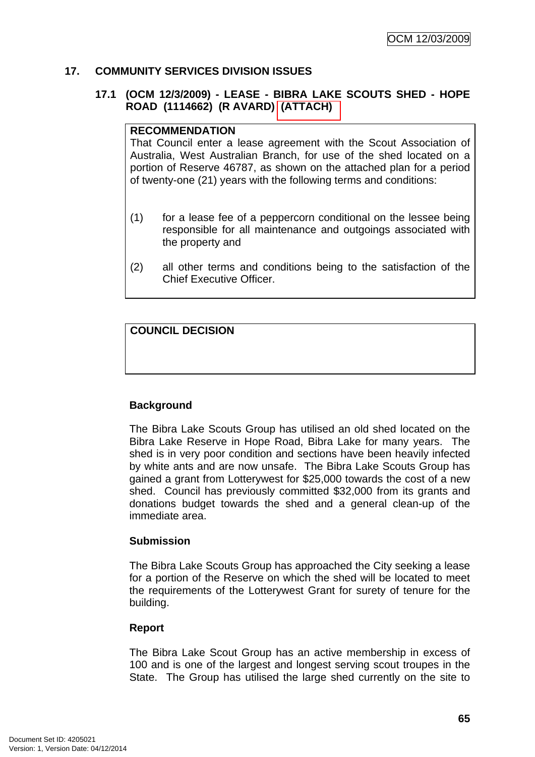# **17. COMMUNITY SERVICES DIVISION ISSUES**

# **17.1 (OCM 12/3/2009) - LEASE - BIBRA LAKE SCOUTS SHED - HOPE ROAD (1114662) (R AVARD) (ATTACH)**

#### **RECOMMENDATION**

That Council enter a lease agreement with the Scout Association of Australia, West Australian Branch, for use of the shed located on a portion of Reserve 46787, as shown on the attached plan for a period of twenty-one (21) years with the following terms and conditions:

- (1) for a lease fee of a peppercorn conditional on the lessee being responsible for all maintenance and outgoings associated with the property and
- (2) all other terms and conditions being to the satisfaction of the Chief Executive Officer.

**COUNCIL DECISION** 

# **Background**

The Bibra Lake Scouts Group has utilised an old shed located on the Bibra Lake Reserve in Hope Road, Bibra Lake for many years. The shed is in very poor condition and sections have been heavily infected by white ants and are now unsafe. The Bibra Lake Scouts Group has gained a grant from Lotterywest for \$25,000 towards the cost of a new shed. Council has previously committed \$32,000 from its grants and donations budget towards the shed and a general clean-up of the immediate area.

#### **Submission**

The Bibra Lake Scouts Group has approached the City seeking a lease for a portion of the Reserve on which the shed will be located to meet the requirements of the Lotterywest Grant for surety of tenure for the building.

#### **Report**

The Bibra Lake Scout Group has an active membership in excess of 100 and is one of the largest and longest serving scout troupes in the State. The Group has utilised the large shed currently on the site to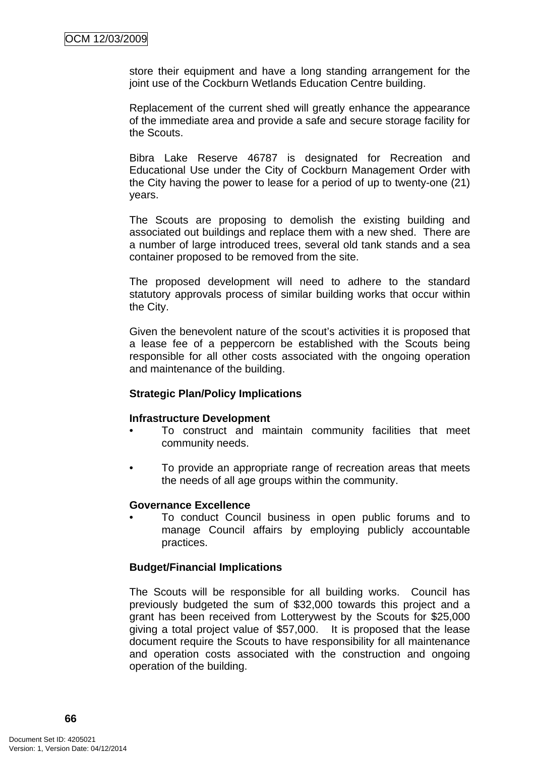store their equipment and have a long standing arrangement for the joint use of the Cockburn Wetlands Education Centre building.

Replacement of the current shed will greatly enhance the appearance of the immediate area and provide a safe and secure storage facility for the Scouts.

Bibra Lake Reserve 46787 is designated for Recreation and Educational Use under the City of Cockburn Management Order with the City having the power to lease for a period of up to twenty-one (21) years.

The Scouts are proposing to demolish the existing building and associated out buildings and replace them with a new shed. There are a number of large introduced trees, several old tank stands and a sea container proposed to be removed from the site.

The proposed development will need to adhere to the standard statutory approvals process of similar building works that occur within the City.

Given the benevolent nature of the scout's activities it is proposed that a lease fee of a peppercorn be established with the Scouts being responsible for all other costs associated with the ongoing operation and maintenance of the building.

# **Strategic Plan/Policy Implications**

#### **Infrastructure Development**

- To construct and maintain community facilities that meet community needs.
- To provide an appropriate range of recreation areas that meets the needs of all age groups within the community.

#### **Governance Excellence**

• To conduct Council business in open public forums and to manage Council affairs by employing publicly accountable practices.

# **Budget/Financial Implications**

The Scouts will be responsible for all building works. Council has previously budgeted the sum of \$32,000 towards this project and a grant has been received from Lotterywest by the Scouts for \$25,000 giving a total project value of \$57,000. It is proposed that the lease document require the Scouts to have responsibility for all maintenance and operation costs associated with the construction and ongoing operation of the building.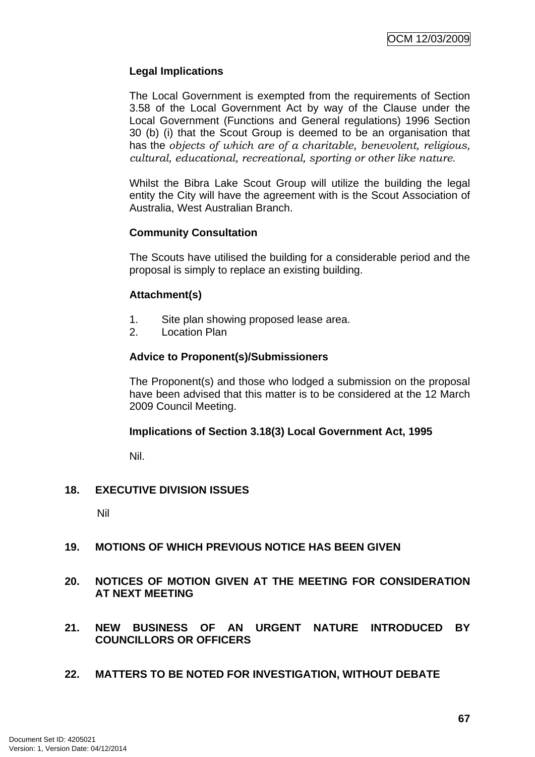# **Legal Implications**

The Local Government is exempted from the requirements of Section 3.58 of the Local Government Act by way of the Clause under the Local Government (Functions and General regulations) 1996 Section 30 (b) (i) that the Scout Group is deemed to be an organisation that has the *objects of which are of a charitable, benevolent, religious, cultural, educational, recreational, sporting or other like nature*.

Whilst the Bibra Lake Scout Group will utilize the building the legal entity the City will have the agreement with is the Scout Association of Australia, West Australian Branch.

# **Community Consultation**

The Scouts have utilised the building for a considerable period and the proposal is simply to replace an existing building.

# **Attachment(s)**

- 1. Site plan showing proposed lease area.
- 2. Location Plan

# **Advice to Proponent(s)/Submissioners**

The Proponent(s) and those who lodged a submission on the proposal have been advised that this matter is to be considered at the 12 March 2009 Council Meeting.

#### **Implications of Section 3.18(3) Local Government Act, 1995**

Nil.

# **18. EXECUTIVE DIVISION ISSUES**

Nil

# **19. MOTIONS OF WHICH PREVIOUS NOTICE HAS BEEN GIVEN**

# **20. NOTICES OF MOTION GIVEN AT THE MEETING FOR CONSIDERATION AT NEXT MEETING**

# **21. NEW BUSINESS OF AN URGENT NATURE INTRODUCED BY COUNCILLORS OR OFFICERS**

**22. MATTERS TO BE NOTED FOR INVESTIGATION, WITHOUT DEBATE**